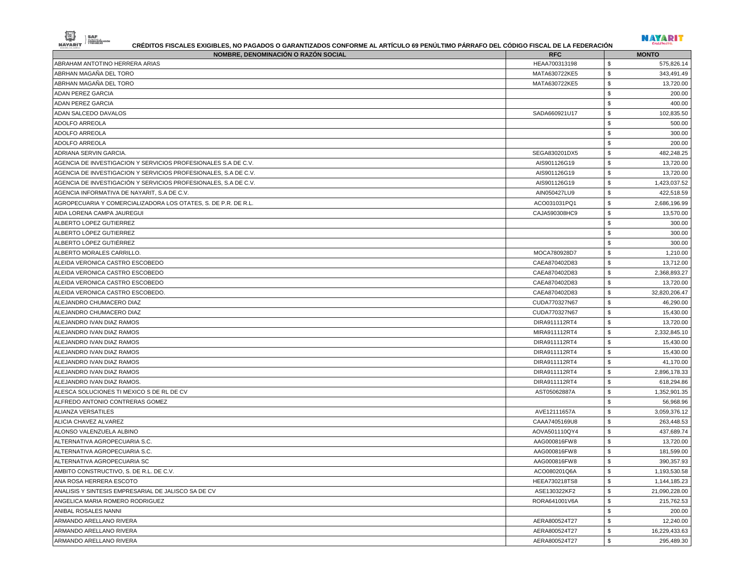| NOMBRE, DENOMINACIÓN O RAZÓN SOCIAL                             | <b>RFC</b>    | <b>MONTO</b>                  |
|-----------------------------------------------------------------|---------------|-------------------------------|
| ABRAHAM ANTOTINO HERRERA ARIAS                                  | HEAA700313198 | \$<br>575,826.14              |
| ABRHAN MAGAÑA DEL TORO                                          | MATA630722KE5 | \$<br>343,491.49              |
| ABRHAN MAGAÑA DEL TORO                                          | MATA630722KE5 | ${\mathbb S}$<br>13,720.00    |
| <b>ADAN PEREZ GARCIA</b>                                        |               | \$<br>200.00                  |
| <b>ADAN PEREZ GARCIA</b>                                        |               | \$<br>400.00                  |
| ADAN SALCEDO DAVALOS                                            | SADA660921U17 | $\mathbb S$<br>102,835.50     |
| ADOLFO ARREOLA                                                  |               | ${\mathbb S}$<br>500.00       |
| ADOLFO ARREOLA                                                  |               | \$<br>300.00                  |
| ADOLFO ARREOLA                                                  |               | \$<br>200.00                  |
| ADRIANA SERVIN GARCIA.                                          | SEGA830201DX5 | \$<br>482,248.25              |
| AGENCIA DE INVESTIGACION Y SERVICIOS PROFESIONALES S.A DE C.V.  | AIS901126G19  | \$<br>13,720.00               |
| AGENCIA DE INVESTIGACION Y SERVICIOS PROFESIONALES, S.A DE C.V. | AIS901126G19  | \$<br>13,720.00               |
| AGENCIA DE INVESTIGACIÓN Y SERVICIOS PROFESIONALES, S.A DE C.V. | AIS901126G19  | \$<br>1,423,037.52            |
| AGENCIA INFORMATIVA DE NAYARIT, S.A DE C.V.                     | AIN050427LU9  | \$<br>422,518.59              |
| AGROPECUARIA Y COMERCIALIZADORA LOS OTATES, S. DE P.R. DE R.L.  | ACO031031PQ1  | \$<br>2,686,196.99            |
| AIDA LORENA CAMPA JAUREGUI                                      | CAJA590308HC9 | \$<br>13,570.00               |
| ALBERTO LOPEZ GUTIERREZ                                         |               | \$<br>300.00                  |
| ALBERTO LÓPEZ GUTIERREZ                                         |               | ${\mathbb S}$<br>300.00       |
| ALBERTO LÓPEZ GUTIÉRREZ                                         |               | \$<br>300.00                  |
| ALBERTO MORALES CARRILLO                                        | MOCA780928D7  | \$<br>1,210.00                |
| ALEIDA VERONICA CASTRO ESCOBEDO                                 | CAEA870402D83 | \$<br>13,712.00               |
| ALEIDA VERONICA CASTRO ESCOBEDO                                 | CAEA870402D83 | \$<br>2,368,893.27            |
| ALEIDA VERONICA CASTRO ESCOBEDO                                 | CAEA870402D83 | \$<br>13,720.00               |
| ALEIDA VERONICA CASTRO ESCOBEDO.                                | CAEA870402D83 | \$<br>32,820,206.47           |
| ALEJANDRO CHUMACERO DIAZ                                        | CUDA770327N67 | \$<br>46,290.00               |
| ALEJANDRO CHUMACERO DIAZ                                        | CUDA770327N67 | \$<br>15,430.00               |
| ALEJANDRO IVAN DIAZ RAMOS                                       | DIRA911112RT4 | \$<br>13,720.00               |
| ALEJANDRO IVAN DIAZ RAMOS                                       | MIRA911112RT4 | \$<br>2,332,845.10            |
| ALEJANDRO IVAN DIAZ RAMOS                                       | DIRA911112RT4 | \$<br>15,430.00               |
| ALEJANDRO IVAN DIAZ RAMOS                                       | DIRA911112RT4 | \$<br>15,430.00               |
| ALEJANDRO IVAN DIAZ RAMOS                                       | DIRA911112RT4 | \$<br>41,170.00               |
| ALEJANDRO IVAN DIAZ RAMOS                                       | DIRA911112RT4 | \$<br>2,896,178.33            |
| ALEJANDRO IVAN DIAZ RAMOS.                                      | DIRA911112RT4 | \$<br>618,294.86              |
| ALESCA SOLUCIONES TI MEXICO S DE RL DE CV                       | AST05062887A  | ${\mathbb S}$<br>1,352,901.35 |
| ALFREDO ANTONIO CONTRERAS GOMEZ                                 |               | \$<br>56,968.96               |
| <b>ALIANZA VERSATILES</b>                                       | AVE12111657A  | \$<br>3,059,376.12            |
| ALICIA CHAVEZ ALVAREZ                                           | CAAA7405169U8 | \$<br>263,448.53              |
| ALONSO VALENZUELA ALBINO                                        | AOVA501110QY4 | \$<br>437,689.74              |
| ALTERNATIVA AGROPECUARIA S.C.                                   | AAG000816FW8  | \$<br>13,720.00               |
| ALTERNATIVA AGROPECUARIA S.C.                                   | AAG000816FW8  | ${\mathbb S}$<br>181,599.00   |
| ALTERNATIVA AGROPECUARIA SC                                     | AAG000816FW8  | \$<br>390,357.93              |
| AMBITO CONSTRUCTIVO, S. DE R.L. DE C.V.                         | ACO080201Q6A  | ${\mathbb S}$<br>1,193,530.58 |
| ANA ROSA HERRERA ESCOTO                                         | HEEA730218TS8 | \$<br>1,144,185.23            |
| ANALISIS Y SINTESIS EMPRESARIAL DE JALISCO SA DE CV             | ASE130322KF2  | \$<br>21,090,228.00           |
| ANGELICA MARIA ROMERO RODRIGUEZ                                 | RORA641001V6A | \$<br>215,762.53              |
| ANIBAL ROSALES NANNI                                            |               | \$<br>200.00                  |
| ARMANDO ARELLANO RIVERA                                         | AERA800524T27 | \$<br>12,240.00               |
| ARMANDO ARELLANO RIVERA                                         | AERA800524T27 | \$<br>16,229,433.63           |

**NAYARIT** 

NAVARIT SAP

ARMANDO ARELLANO RIVERA 295,489.30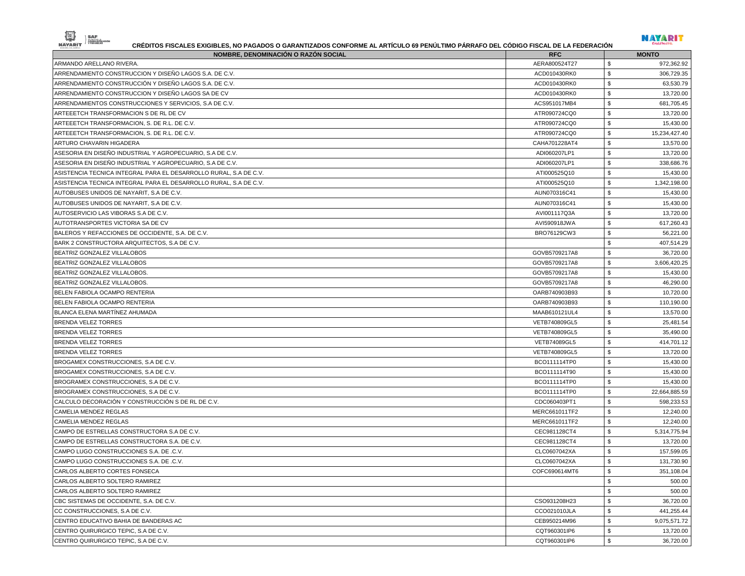| --- -<br>---<br>- 1 |  |
|---------------------|--|



| <b>NOMBRE, DENOMINACIÓN O RAZÓN SOCIAL</b>                        | <b>RFC</b>          | <b>MONTO</b>        |
|-------------------------------------------------------------------|---------------------|---------------------|
| ARMANDO ARELLANO RIVERA.                                          | AERA800524T27       | \$<br>972,362.92    |
| ARRENDAMIENTO CONSTRUCCION Y DISEÑO LAGOS S.A. DE C.V.            | ACD010430RK0        | \$<br>306,729.35    |
| ARRENDAMIENTO CONSTRUCCIÓN Y DISEÑO LAGOS S.A. DE C.V.            | ACD010430RK0        | \$<br>63,530.79     |
| ARRENDAMIENTO CONSTRUCCION Y DISEÑO LAGOS SA DE CV                | ACD010430RK0        | \$<br>13,720.00     |
| ARRENDAMIENTOS CONSTRUCCIONES Y SERVICIOS, S.A DE C.V.            | ACS951017MB4        | \$<br>681,705.45    |
| ARTEEETCH TRANSFORMACION S DE RL DE CV                            | ATR090724CQ0        | \$<br>13,720.00     |
| ARTEEETCH TRANSFORMACION, S. DE R.L. DE C.V.                      | ATR090724CQ0        | \$<br>15,430.00     |
| ARTEEETCH TRANSFORMACION, S. DE R.L. DE C.V.                      | ATR090724CQ0        | \$<br>15,234,427.40 |
| ARTURO CHAVARIN HIGADERA                                          | CAHA701228AT4       | \$<br>13,570.00     |
| ASESORIA EN DISEÑO INDUSTRIAL Y AGROPECUARIO, S.A DE C.V.         | ADI060207LP1        | -S<br>13,720.00     |
| ASESORIA EN DISEÑO INDUSTRIAL Y AGROPECUARIO, S.A DE C.V.         | ADI060207LP1        | \$<br>338,686.76    |
| ASISTENCIA TECNICA INTEGRAL PARA EL DESARROLLO RURAL, S.A DE C.V. | ATI000525Q10        | \$<br>15,430.00     |
| ASISTENCIA TECNICA INTEGRAL PARA EL DESARROLLO RURAL, S.A DE C.V. | ATI000525Q10        | \$<br>1.342.198.00  |
| AUTOBUSES UNIDOS DE NAYARIT, S.A DE C.V.                          | AUN070316C41        | \$<br>15,430.00     |
| AUTOBUSES UNIDOS DE NAYARIT, S.A DE C.V.                          | AUN070316C41        | \$<br>15,430.00     |
| AUTOSERVICIO LAS VIBORAS S.A DE C.V.                              | AVI001117Q3A        | \$<br>13,720.00     |
| AUTOTRANSPORTES VICTORIA SA DE CV                                 | AVI590918JWA        | \$<br>617,260.43    |
| BALEROS Y REFACCIONES DE OCCIDENTE, S.A. DE C.V.                  | BRO76129CW3         | -S<br>56,221.00     |
| BARK 2 CONSTRUCTORA ARQUITECTOS, S.A DE C.V.                      |                     | 407,514.29<br>\$    |
| BEATRIZ GONZALEZ VILLALOBOS                                       | GOVB5709217A8       | \$<br>36,720.00     |
| BEATRIZ GONZALEZ VILLALOBOS                                       | GOVB5709217A8       | \$<br>3,606,420.25  |
| BEATRIZ GONZALEZ VILLALOBOS.                                      | GOVB5709217A8       | \$<br>15,430.00     |
| BEATRIZ GONZALEZ VILLALOBOS.                                      | GOVB5709217A8       | \$<br>46,290.00     |
| BELEN FABIOLA OCAMPO RENTERIA                                     | OARB740903B93       | \$<br>10,720.00     |
| BELEN FABIOLA OCAMPO RENTERIA                                     | OARB740903B93       | \$<br>110,190.00    |
| BLANCA ELENA MARTÍNEZ AHUMADA                                     | MAAB610121UL4       | 13,570.00<br>- \$   |
| <b>BRENDA VELEZ TORRES</b>                                        | VETB740809GL5       | \$<br>25,481.54     |
| BRENDA VELEZ TORRES                                               | VETB740809GL5       | \$<br>35,490.00     |
| BRENDA VELEZ TORRES                                               | <b>VETB74089GL5</b> | \$<br>414,701.12    |
| BRENDA VELEZ TORRES                                               | VETB740809GL5       | \$<br>13,720.00     |
| BROGAMEX CONSTRUCCIONES, S.A DE C.V.                              | BCO111114TP0        | \$<br>15,430.00     |
| BROGAMEX CONSTRUCCIONES, S.A DE C.V.                              | BCO111114T90        | \$<br>15,430.00     |
| BROGRAMEX CONSTRUCCIONES, S.A DE C.V.                             | BCO111114TP0        | \$<br>15,430.00     |
| BROGRAMEX CONSTRUCCIONES, S.A DE C.V.                             | BCO111114TP0        | \$<br>22,664,885.59 |
| CALCULO DECORACIÓN Y CONSTRUCCIÓN S DE RL DE C.V.                 | CDC060403PT1        | -S<br>598,233.53    |
| CAMELIA MENDEZ REGLAS                                             | MERC661011TF2       | \$<br>12,240.00     |
| CAMELIA MENDEZ REGLAS                                             | MERC661011TF2       | \$<br>12,240.00     |
| CAMPO DE ESTRELLAS CONSTRUCTORA S.A DE C.V.                       | CEC981128CT4        | \$<br>5,314,775.94  |
| CAMPO DE ESTRELLAS CONSTRUCTORA S.A. DE C.V.                      | CEC981128CT4        | -S<br>13.720.00     |
| CAMPO LUGO CONSTRUCCIONES S.A. DE .C.V.                           | CLC0607042XA        | \$<br>157,599.05    |
| CAMPO LUGO CONSTRUCCIONES S.A. DE .C.V.                           | CLC0607042XA        | \$<br>131,730.90    |
| CARLOS ALBERTO CORTES FONSECA                                     | COFC690614MT6       | 351,108.04<br>\$    |
| CARLOS ALBERTO SOLTERO RAMIREZ                                    |                     | \$<br>500.00        |
| CARLOS ALBERTO SOLTERO RAMIREZ                                    |                     | 500.00<br>\$        |
| CBC SISTEMAS DE OCCIDENTE, S.A. DE C.V.                           | CSO931208H23        | \$<br>36,720.00     |
| CC CONSTRUCCIONES, S.A DE C.V.                                    | CCO021010JLA        | \$<br>441,255.44    |
| CENTRO EDUCATIVO BAHIA DE BANDERAS AC                             | CEB950214M96        | \$<br>9,075,571.72  |
| CENTRO QUIRURGICO TEPIC, S.A DE C.V.                              | CQT960301IP6        | \$<br>13,720.00     |
| CENTRO QUIRURGICO TEPIC, S.A DE C.V.                              | CQT960301IP6        | \$<br>36,720.00     |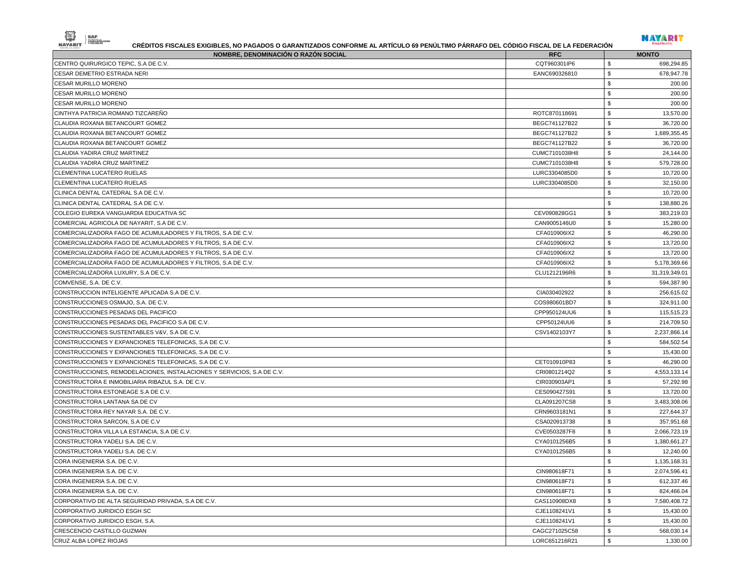| NOMBRE, DENOMINACIÓN O RAZÓN SOCIAL                                    | <b>RFC</b>    | <b>MONTO</b>              |
|------------------------------------------------------------------------|---------------|---------------------------|
| CENTRO QUIRURGICO TEPIC, S.A DE C.V.                                   | CQT960301IP6  | \$<br>698,294.85          |
| CESAR DEMETRIO ESTRADA NERI                                            | EANC690326810 | \$<br>678,947.78          |
| <b>CESAR MURILLO MORENO</b>                                            |               | \$<br>200.00              |
| <b>CESAR MURILLO MORENO</b>                                            |               | \$<br>200.00              |
| <b>CESAR MURILLO MORENO</b>                                            |               | \$<br>200.00              |
| CINTHYA PATRICIA ROMANO TIZCARENO                                      | ROTC870118691 | \$<br>13,570.00           |
| CLAUDIA ROXANA BETANCOURT GOMEZ                                        | BEGC741127B22 | \$<br>36,720.00           |
| CLAUDIA ROXANA BETANCOURT GOMEZ                                        | BEGC741127B22 | \$<br>1,689,355.45        |
| CLAUDIA ROXANA BETANCOURT GOMEZ                                        | BEGC741127B22 | \$<br>36,720.00           |
| CLAUDIA YADIRA CRUZ MARTINEZ                                           | CUMC7101038H8 | \$<br>24,144.00           |
| CLAUDIA YADIRA CRUZ MARTINEZ                                           | CUMC7101038H8 | \$<br>579,728.00          |
| CLEMENTINA LUCATERO RUELAS                                             | LURC3304085D0 | \$<br>10,720.00           |
| CLEMENTINA LUCATERO RUELAS                                             | LURC3304085D0 | \$<br>32,150.00           |
| CLINICA DENTAL CATEDRAL S.A DE C.V.                                    |               | \$<br>10,720.00           |
| CLINICA DENTAL CATEDRAL S.A DE C.V.                                    |               | \$<br>138,880.26          |
| COLEGIO EUREKA VANGUARDIA EDUCATIVA SC                                 | CEV090828GG1  | \$<br>383,219.03          |
| COMERCIAL AGRICOLA DE NAYARIT, S.A DE C.V.                             | CAN9005146U0  | <b>S</b><br>15,280.00     |
| COMERCIALIZADORA FAGO DE ACUMULADORES Y FILTROS, S.A DE C.V.           | CFA010906IX2  | \$<br>46,290.00           |
| COMERCIALIZADORA FAGO DE ACUMULADORES Y FILTROS, S.A DE C.V.           | CFA010906IX2  | \$<br>13,720.00           |
| COMERCIALIZADORA FAGO DE ACUMULADORES Y FILTROS, S.A DE C.V.           | CFA010906IX2  | \$<br>13,720.00           |
| COMERCIALIZADORA FAGO DE ACUMULADORES Y FILTROS, S.A DE C.V.           | CFA010906IX2  | \$<br>5,178,369.66        |
| COMERCIALIZADORA LUXURY, S.A DE C.V.                                   | CLU1212196R6  | \$<br>31,319,349.01       |
| COMVENSE, S.A. DE C.V.                                                 |               | \$<br>594,387.90          |
| CONSTRUCCION INTELIGENTE APLICADA S.A DE C.V.                          | CIA030402922  | \$<br>256,615.02          |
| CONSTRUCCIONES OSMAJO, S.A. DE C.V.                                    | COS980601BD7  | \$<br>324,911.00          |
| CONSTRUCCIONES PESADAS DEL PACIFICO                                    | CPP950124UU6  | \$<br>115,515.23          |
| CONSTRUCCIONES PESADAS DEL PACIFICO S.A DE C.V.                        | CPP50124UU6   | \$<br>214,709.50          |
| CONSTRUCCIONES SUSTENTABLES V&V, S.A DE C.V.                           | CSV1402103Y7  | \$<br>2,237,866.14        |
| CONSTRUCCIONES Y EXPANCIONES TELEFONICAS, S.A DE C.V.                  |               | \$<br>584,502.54          |
| CONSTRUCCIONES Y EXPANCIONES TELEFONICAS, S.A DE C.V.                  |               | \$<br>15,430.00           |
| CONSTRUCCIONES Y EXPANCIONES TELEFONICAS, S.A DE C.V.                  | CET010910P83  | \$<br>46,290.00           |
| CONSTRUCCIONES, REMODELACIONES, INSTALACIONES Y SERVICIOS, S.A DE C.V. | CRI0801214Q2  | \$<br>4,553,133.14        |
| CONSTRUCTORA E INMOBILIARIA RIBAZUL S.A. DE C.V.                       | CIR030903AP1  | \$<br>57,292.98           |
| CONSTRUCTORA ESTONEAGE S.A DE C.V.                                     | CES090427S91  | \$<br>13,720.00           |
| CONSTRUCTORA LANTANA SA DE CV                                          | CLA091207CS8  | \$<br>3,483,308.06        |
| CONSTRUCTORA REY NAYAR S.A. DE C.V.                                    | CRN9603181N1  | \$<br>227,644.37          |
| CONSTRUCTORA SARCON, S.A DE C.V.                                       | CSA020913738  | \$<br>357,951.68          |
| CONSTRUCTORA VILLA LA ESTANCIA. S.A DE C.V.                            | CVE0503287F8  | \$<br>2,066,723.19        |
| CONSTRUCTORA YADELI S.A. DE C.V.                                       | CYA0101256B5  | \$<br>1,380,661.27        |
| CONSTRUCTORA YADELI S.A. DE C.V.                                       | CYA0101256B5  | \$<br>12,240.00           |
| CORA INGENIERIA S.A. DE C.V.                                           |               | \$<br>1,135,168.31        |
| CORA INGENIERIA S.A. DE C.V.                                           | CIN980618F71  | \$<br>2,074,596.41        |
| CORA INGENIERIA S.A. DE C.V.                                           | CIN980618F71  | \$<br>612,337.46          |
| CORA INGENIERIA S.A. DE C.V.                                           | CIN980618F71  | \$<br>824,466.04          |
| CORPORATIVO DE ALTA SEGURIDAD PRIVADA, S.A DE C.V.                     | CAS110908DX8  | \$<br>7,580,408.72        |
| CORPORATIVO JURIDICO ESGH SC                                           | CJE1108241V1  | $\,$<br>15,430.00         |
| CORPORATIVO JURIDICO ESGH, S.A.                                        | CJE1108241V1  | $\,$<br>15,430.00         |
| CRESCENCIO CASTILLO GUZMAN                                             | CAGC271025C58 | \$<br>568,030.14          |
| CRUZ ALBA LOPEZ RIOJAS                                                 | LORC651216R21 | $\mathfrak s$<br>1,330.00 |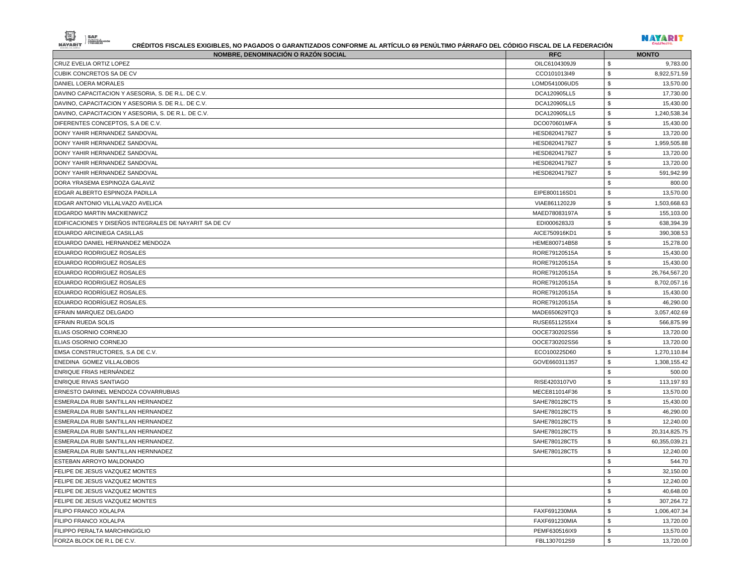| NOMBRE, DENOMINACIÓN O RAZÓN SOCIAL                    | <b>RFC</b>    | <b>MONTO</b>        |
|--------------------------------------------------------|---------------|---------------------|
| CRUZ EVELIA ORTIZ LOPEZ                                | OILC6104309J9 | \$<br>9,783.00      |
| CUBIK CONCRETOS SA DE CV                               | CCO101013I49  | \$<br>8,922,571.59  |
| DANIEL LOERA MORALES                                   | LOMD541006UD5 | \$<br>13,570.00     |
| DAVINO CAPACITACION Y ASESORIA, S. DE R.L. DE C.V.     | DCA120905LL5  | \$<br>17,730.00     |
| DAVINO, CAPACITACION Y ASESORIA S. DE R.L. DE C.V.     | DCA120905LL5  | \$<br>15,430.00     |
| DAVINO, CAPACITACION Y ASESORIA, S. DE R.L. DE C.V.    | DCA120905LL5  | \$<br>1,240,538.34  |
| DIFERENTES CONCEPTOS, S.A DE C.V.                      | DCO070601MFA  | \$<br>15,430.00     |
| DONY YAHIR HERNANDEZ SANDOVAL                          | HESD8204179Z7 | \$<br>13,720.00     |
| DONY YAHIR HERNANDEZ SANDOVAL                          | HESD8204179Z7 | \$<br>1,959,505.88  |
| DONY YAHIR HERNANDEZ SANDOVAL                          | HESD8204179Z7 | \$<br>13,720.00     |
| DONY YAHIR HERNANDEZ SANDOVAL                          | HESD8204179Z7 | \$<br>13,720.00     |
| DONY YAHIR HERNANDEZ SANDOVAL                          | HESD8204179Z7 | \$<br>591,942.99    |
| DORA YRASEMA ESPINOZA GALAVIZ                          |               | \$<br>800.00        |
| EDGAR ALBERTO ESPINOZA PADILLA                         | EIPE800116SD1 | \$<br>13,570.00     |
| EDGAR ANTONIO VILLALVAZO AVELICA                       | VIAE8611202J9 | \$<br>1,503,668.63  |
| EDGARDO MARTIN MACKIENWICZ                             | MAED78083197A | \$<br>155,103.00    |
| EDIFICACIONES Y DISEÑOS INTEGRALES DE NAYARIT SA DE CV | EDI0006283J3  | \$<br>638,394.39    |
| EDUARDO ARCINIEGA CASILLAS                             | AICE750916KD1 | \$<br>390,308.53    |
| EDUARDO DANIEL HERNANDEZ MENDOZA                       | HEME800714B58 | \$<br>15,278.00     |
| EDUARDO RODRIGUEZ ROSALES                              | RORE79120515A | \$<br>15,430.00     |
| EDUARDO RODRIGUEZ ROSALES                              | RORE79120515A | \$<br>15,430.00     |
| EDUARDO RODRIGUEZ ROSALES                              | RORE79120515A | \$<br>26,764,567.20 |
| EDUARDO RODRIGUEZ ROSALES                              | RORE79120515A | \$<br>8,702,057.16  |
| EDUARDO RODRÍGUEZ ROSALES.                             | RORE79120515A | \$<br>15,430.00     |
| EDUARDO RODRÍGUEZ ROSALES.                             | RORE79120515A | \$<br>46,290.00     |
| EFRAIN MARQUEZ DELGADO                                 | MADE650629TQ3 | \$<br>3,057,402.69  |
| EFRAIN RUEDA SOLIS                                     | RUSE6511255X4 | \$<br>566,875.99    |
| ELIAS OSORNIO CORNEJO                                  | OOCE730202SS6 | \$<br>13,720.00     |
| <b>ELIAS OSORNIO CORNEJO</b>                           | OOCE730202SS6 | \$<br>13,720.00     |
| EMSA CONSTRUCTORES, S.A DE C.V.                        | ECO100225D60  | \$<br>1,270,110.84  |
| ENEDINA GOMEZ VILLALOBOS                               | GOVE660311357 | \$<br>1,308,155.42  |
| <b>ENRIQUE FRIAS HERNÁNDEZ</b>                         |               | \$<br>500.00        |
| <b>ENRIQUE RIVAS SANTIAGO</b>                          | RISE4203107V0 | \$<br>113,197.93    |
| ERNESTO DARINEL MENDOZA COVARRUBIAS                    | MECE811014F36 | \$<br>13,570.00     |
| ESMERALDA RUBI SANTILLAN HERNANDEZ                     | SAHE780128CT5 | \$<br>15,430.00     |
| ESMERALDA RUBI SANTILLAN HERNANDEZ                     | SAHE780128CT5 | \$<br>46,290.00     |
| ESMERALDA RUBI SANTILLAN HERNANDEZ                     | SAHE780128CT5 | \$<br>12,240.00     |
| ESMERALDA RUBI SANTILLAN HERNANDEZ                     | SAHE780128CT5 | \$<br>20,314,825.75 |
|                                                        |               | \$                  |
| ESMERALDA RUBI SANTILLAN HERNANDEZ.                    | SAHE780128CT5 | 60,355,039.21       |
| ESMERALDA RUBI SANTILLAN HERNNADEZ                     | SAHE780128CT5 | 12,240.00<br>S,     |
| <b>ESTEBAN ARROYO MALDONADO</b>                        |               | \$<br>544.70        |
| FELIPE DE JESUS VAZQUEZ MONTES                         |               | \$<br>32,150.00     |
| FELIPE DE JESUS VAZQUEZ MONTES                         |               | \$<br>12,240.00     |
| FELIPE DE JESUS VAZQUEZ MONTES                         |               | \$<br>40,648.00     |
| FELIPE DE JESUS VAZQUEZ MONTES                         |               | \$<br>307,264.72    |
| FILIPO FRANCO XOLALPA                                  | FAXF691230MIA | \$<br>1,006,407.34  |
| FILIPO FRANCO XOLALPA                                  | FAXF691230MIA | \$<br>13,720.00     |
| <b>FILIPPO PERALTA MARCHINGIGLIO</b>                   | PEMF630516IX9 | \$<br>13,570.00     |
| FORZA BLOCK DE R.L DE C.V.                             | FBL1307012S9  | \$<br>13,720.00     |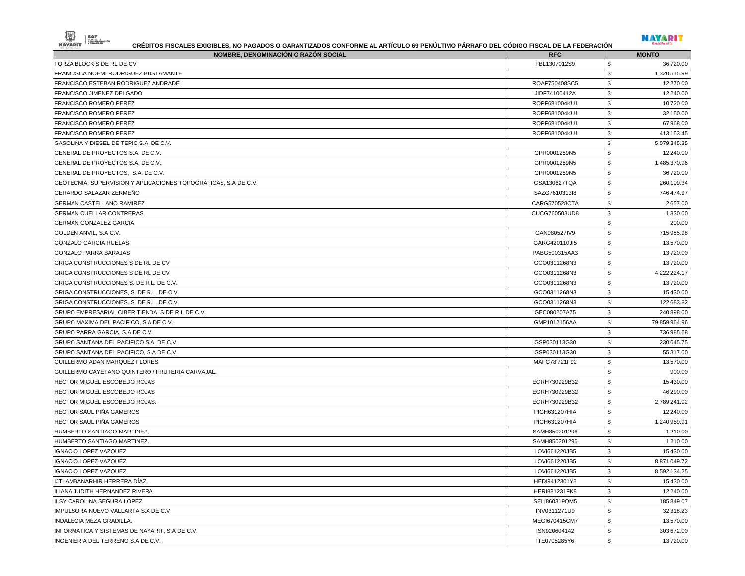| --- -<br>------ |  |
|-----------------|--|



| NOMBRE, DENOMINACIÓN O RAZÓN SOCIAL<br>FORZA BLOCK S DE RL DE CV | <b>RFC</b><br>FBL1307012S9 | <b>MONTO</b><br>\$<br>36,720.00 |
|------------------------------------------------------------------|----------------------------|---------------------------------|
| FRANCISCA NOEMI RODRIGUEZ BUSTAMANTE                             |                            | $\mathfrak{s}$<br>1,320,515.99  |
| FRANCISCO ESTEBAN RODRIGUEZ ANDRADE                              | ROAF750408SC5              | \$<br>12,270.00                 |
| FRANCISCO JIMENEZ DELGADO                                        | JIDF74100412A              | \$<br>12,240.00                 |
| FRANCISCO ROMERO PEREZ                                           | ROPF681004KU1              | \$<br>10,720.00                 |
| FRANCISCO ROMERO PEREZ                                           | ROPF681004KU1              | $\mathbf{s}$<br>32,150.00       |
| FRANCISCO ROMERO PEREZ                                           | ROPF681004KU1              | \$<br>67,968.00                 |
| <b>FRANCISCO ROMERO PEREZ</b>                                    | ROPF681004KU1              | \$<br>413,153.45                |
| GASOLINA Y DIESEL DE TEPIC S.A. DE C.V.                          |                            | \$<br>5,079,345.35              |
| GENERAL DE PROYECTOS S.A. DE C.V.                                | GPR0001259N5               | \$<br>12,240.00                 |
| GENERAL DE PROYECTOS S.A. DE C.V.                                | GPR0001259N5               | \$<br>1,485,370.96              |
| GENERAL DE PROYECTOS, S.A. DE C.V.                               | GPR0001259N5               | \$<br>36,720.00                 |
| GEOTECNIA, SUPERVISION Y APLICACIONES TOPOGRAFICAS, S.A DE C.V.  | GSA130627TQA               | \$<br>260,109.34                |
| GERARDO SALAZAR ZERMEÑO                                          | SAZG7610313l8              | $\mathfrak{s}$<br>746,474.97    |
| GERMAN CASTELLANO RAMIREZ                                        | CARG570528CTA              | \$<br>2,657.00                  |
| GERMAN CUELLAR CONTRERAS.                                        | CUCG760503UD8              | \$<br>1,330.00                  |
| <b>GERMAN GONZALEZ GARCIA</b>                                    |                            | \$<br>200.00                    |
| GOLDEN ANVIL, S.A C.V.                                           | GAN980527IV9               | 715,955.98<br>\$                |
| GONZALO GARCIA RUELAS                                            | GARG420110JI5              | \$<br>13,570.00                 |
| GONZALO PARRA BARAJAS                                            | PABG500315AA3              | \$<br>13,720.00                 |
| GRIGA CONSTRUCCIONES S DE RL DE CV                               | GCO0311268N3               | \$<br>13,720.00                 |
| GRIGA CONSTRUCCIONES S DE RL DE CV                               | GCO0311268N3               | \$<br>4,222,224.17              |
| GRIGA CONSTRUCCIONES S. DE R.L. DE C.V.                          | GCO0311268N3               | \$<br>13,720.00                 |
| GRIGA CONSTRUCCIONES, S. DE R.L. DE C.V.                         | GCO0311268N3               | \$<br>15,430.00                 |
| GRIGA CONSTRUCCIONES. S. DE R.L. DE C.V.                         | GCO0311268N3               | \$<br>122,683.82                |
| GRUPO EMPRESARIAL CIBER TIENDA, S DE R.L DE C.V.                 | GEC080207A75               | \$<br>240,898.00                |
| GRUPO MAXIMA DEL PACIFICO, S.A DE C.V                            | GMP1012156AA               | \$<br>79,859,964.96             |
| GRUPO PARRA GARCIA, S.A DE C.V.                                  |                            | \$<br>736,985.68                |
| GRUPO SANTANA DEL PACIFICO S.A. DE C.V.                          | GSP030113G30               | \$<br>230,645.75                |
| GRUPO SANTANA DEL PACIFICO, S.A DE C.V.                          | GSP030113G30               | \$<br>55,317.00                 |
| GUILLERMO ADAN MARQUEZ FLORES                                    | MAFG78'721F92              | \$<br>13,570.00                 |
| GUILLERMO CAYETANO QUINTERO / FRUTERIA CARVAJAL.                 |                            | \$<br>900.00                    |
| HECTOR MIGUEL ESCOBEDO ROJAS                                     | EORH730929B32              | \$<br>15,430.00                 |
| HECTOR MIGUEL ESCOBEDO ROJAS                                     | EORH730929B32              | \$<br>46,290.00                 |
| HECTOR MIGUEL ESCOBEDO ROJAS.                                    | EORH730929B32              | \$<br>2,789,241.02              |
| HECTOR SAUL PIÑA GAMEROS                                         | PIGH631207HIA              | \$<br>12,240.00                 |
| HECTOR SAUL PIÑA GAMEROS                                         | PIGH631207HIA              | \$<br>1,240,959.91              |
| HUMBERTO SANTIAGO MARTINEZ.                                      | SAMH850201296              | \$<br>1,210.00                  |
| HUMBERTO SANTIAGO MARTINEZ.                                      | SAMH850201296              | 1,210.00<br>\$                  |
| <b>IGNACIO LOPEZ VAZQUEZ</b>                                     | LOVI661220JB5              | \$<br>15,430.00                 |
| <b>IGNACIO LOPEZ VAZQUEZ</b>                                     | LOVI661220JB5              | \$<br>8,871,049.72              |
| IGNACIO LOPEZ VAZQUEZ.                                           | LOVI661220JB5              | 8,592,134.25<br>S,              |
| IJTI AMBANARHIR HERRERA DIAZ.                                    | HEDI9412301Y3              | \$<br>15,430.00                 |
| ILIANA JUDITH HERNANDEZ RIVERA                                   | HERI881231FK8              | \$<br>12,240.00                 |
| ILSY CAROLINA SEGURA LOPEZ                                       | SELI860319QM5              | \$<br>185,849.07                |
| IMPULSORA NUEVO VALLARTA S.A DE C.V                              | INV0311271U9               | \$<br>32,318.23                 |
| INDALECIA MEZA GRADILLA.                                         | MEGI670415CM7              | \$<br>13,570.00                 |
| INFORMATICA Y SISTEMAS DE NAYARIT, S.A DE C.V.                   | ISN920604142               | \$<br>303,672.00                |
| INGENIERIA DEL TERRENO S.A DE C.V.                               | ITE0705285Y6               | \$<br>13,720.00                 |
|                                                                  |                            |                                 |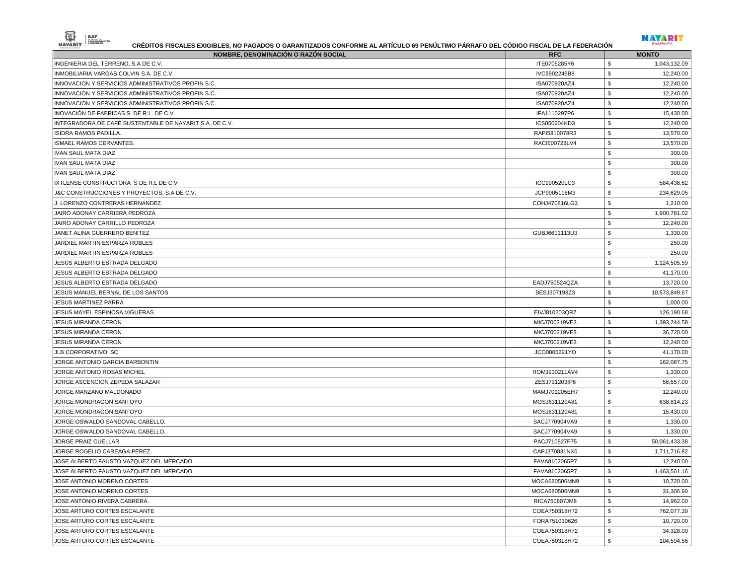|--|



| NOMBRE, DENOMINACIÓN O RAZÓN SOCIAL                     | <b>RFC</b>    | <b>MONTO</b>        |
|---------------------------------------------------------|---------------|---------------------|
| INGENIERIA DEL TERRENO, S.A DE C.V.                     | ITE0705285Y6  | \$<br>1,043,132.09  |
| INMOBILIARIA VARGAS COLVIN S.A. DE C.V.                 | IVC9902246B8  | \$<br>12,240.00     |
| INNOVACION Y SERVICIOS ADMINISTRATIVOS PROFIN S.C.      | ISA070920AZ4  | \$<br>12,240.00     |
| INNOVACION Y SERVICIOS ADMINISTRATIVOS PROFIN S.C.      | ISA070920AZ4  | \$<br>12,240.00     |
| INNOVACION Y SERVICIOS ADMINISTRATIVOS PROFIN S.C.      | ISA070920AZ4  | \$<br>12,240.00     |
| INOVACIÓN DE FABRICAS S. DE R.L. DE C.V.                | IFA1110297P6  | \$<br>15,430.00     |
| INTEGRADORA DE CAFÉ SUSTENTABLE DE NAYARIT S.A. DE C.V. | ICS050204KD3  | \$<br>12,240.00     |
| ISIDRA RAMOS PADILLA.                                   | RAPI5810078R3 | \$<br>13,570.00     |
| ISMAEL RAMOS CERVANTES.                                 | RACI600723LV4 | \$<br>13,570.00     |
| IVAN SAUL MATA DIAZ                                     |               | \$<br>300.00        |
| IVAN SAUL MATA DIAZ                                     |               | \$<br>300.00        |
| IVAN SAUL MATA DIAZ                                     |               | \$<br>300.00        |
| IXTLENSE CONSTRUCTORA S DE R.L DE C.V                   | ICC990520LC3  | 584,436.62<br>\$    |
| J&C CONSTRUCCIONES Y PROYECTOS, S.A DE C.V.             | JCP9905118M3  | \$<br>234,629.05    |
| J. LORENZO CONTRERAS HERNANDEZ.                         | COHJ470816LG3 | \$<br>1,210.00      |
| JAIRO ADONAY CARRIERA PEDROZA                           |               | \$<br>1,900,781.02  |
| JAIRO ADONAY CARRILLO PEDROZA                           |               | 12,240.00<br>\$     |
| JANET ALINA GUERRERO BENITEZ                            | GUBJ6611113U3 | \$<br>1,330.00      |
| JARDIEL MARTIN ESPARZA ROBLES                           |               | \$<br>250.00        |
| JARDIEL MARTIN ESPARZA ROBLES                           |               | \$<br>250.00        |
| JESUS ALBERTO ESTRADA DELGADO                           |               | \$<br>1,124,505.59  |
| JESUS ALBERTO ESTRADA DELGADO                           |               | \$<br>41,170.00     |
| JESUS ALBERTO ESTRADA DELGADO                           | EADJ750524QZA | \$<br>13,720.00     |
| JESUS MANUEL BERNAL DE LOS SANTOS                       | BESJ307198Z3  | \$<br>10,573,849.67 |
| <b>JESUS MARTINEZ PARRA</b>                             |               | \$<br>1,000.00      |
| JESUS MAYEL ESPINOSA VIGUERAS                           | EIVJ810203QR7 | \$<br>126,190.68    |
| <b>JESUS MIRANDA CERON</b>                              | MICJ700219VE3 | \$<br>1,393,244.58  |
| JESUS MIRANDA CERON                                     | MICJ700219VE3 | \$<br>36,720.00     |
| <b>JESUS MIRANDA CERON</b>                              | MICJ700219VE3 | \$<br>12,240.00     |
| JLB CORPORATIVO, SC                                     | JCO0805221YO  | \$<br>41,170.00     |
| JORGE ANTONIO GARCIA BARBONTIN                          |               | \$<br>162,087.75    |
| JORGE ANTONIO ROSAS MICHEL                              | ROMJ930211AV4 | \$<br>1,330.00      |
| JORGE ASCENCION ZEPEDA SALAZAR                          | ZESJ731203IP6 | \$<br>56,557.00     |
| JORGE MANZANO MALDONADO                                 | MAMJ701205EH7 | \$<br>12,240.00     |
| JORGE MONDRAGON SANTOYO                                 | MOSJ631120A81 | \$<br>638,814.23    |
| JORGE MONDRAGON SANTOYO                                 | MOSJ631120A81 | \$<br>15,430.00     |
| JORGE OSWALDO SANDOVAL CABELLO.                         | SACJ770904VA9 | \$<br>1,330.00      |
| JORGE OSWALDO SANDOVAL CABELLO.                         | SACJ770904VA9 | 1,330.00<br>\$      |
| JORGE PRAIZ CUELLAR                                     | PACJ710827F75 | \$<br>50,061,433.38 |
| JORGE ROGELIO CAREAGA PEREZ.                            | CAPJ370831NX6 | 1,711,716.82<br>\$  |
| JOSE ALBERTO FAUSTO VAZQUEZ DEL MERCADO                 | FAVA8102065P7 | \$<br>12,240.00     |
| JOSE ALBERTO FAUSTO VAZQUEZ DEL MERCADO                 | FAVA8102065P7 | 1,463,501.16        |
| JOSE ANTONIO MORENO CORTES                              | MOCA680506MN9 | \$<br>10,720.00     |
| JOSE ANTONIO MORENO CORTES                              | MOCA680506MN9 | \$<br>31,306.90     |
| JOSE ANTONIO RIVERA CABRERA.                            | RICA750807JM8 | \$<br>14,962.00     |
| JOSE ARTURO CORTES ESCALANTE                            | COEA750318H72 | \$<br>762,077.39    |
| JOSE ARTURO CORTES ESCALANTE                            | FORA751030626 | \$<br>10,720.00     |
| JOSE ARTURO CORTES ESCALANTE                            | COEA750318H72 | \$<br>34,328.00     |
| JOSE ARTURO CORTES ESCALANTE                            | COEA750318H72 | \$<br>104,594.56    |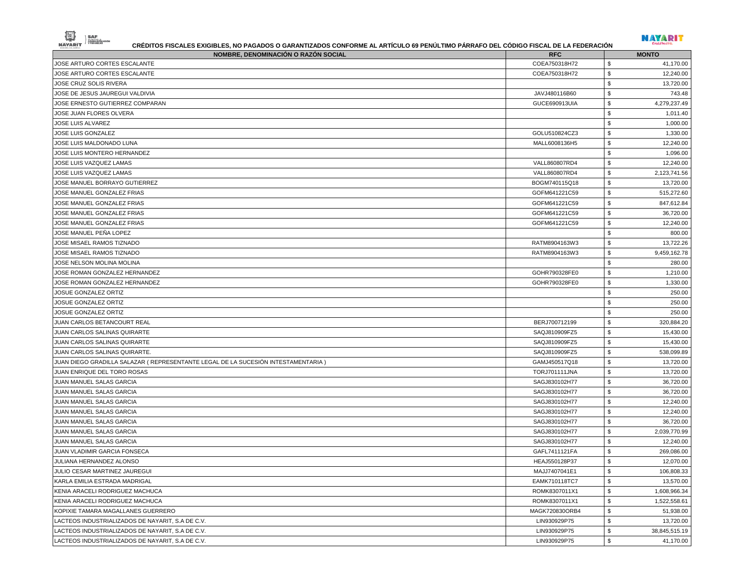| NOMBRE, DENOMINACIÓN O RAZÓN SOCIAL                                                | <b>RFC</b>                     | <b>MONTO</b>                         |
|------------------------------------------------------------------------------------|--------------------------------|--------------------------------------|
| JOSE ARTURO CORTES ESCALANTE                                                       | COEA750318H72                  | 41,170.00<br>\$                      |
| JOSE ARTURO CORTES ESCALANTE                                                       | COEA750318H72                  | \$<br>12,240.00                      |
| JOSE CRUZ SOLIS RIVERA                                                             |                                | \$<br>13,720.00                      |
| JOSE DE JESUS JAUREGUI VALDIVIA                                                    | JAVJ480116B60                  | \$<br>743.48                         |
| JOSE ERNESTO GUTIERREZ COMPARAN                                                    | GUCE690913UIA                  | \$<br>4,279,237.49                   |
| JOSE JUAN FLORES OLVERA                                                            |                                | \$<br>1,011.40                       |
| JOSE LUIS ALVAREZ                                                                  |                                | \$<br>1,000.00                       |
| JOSE LUIS GONZALEZ                                                                 | GOLU510824CZ3                  | \$<br>1,330.00                       |
| JOSE LUIS MALDONADO LUNA                                                           | MALL6008136H5                  | \$<br>12,240.00                      |
| JOSE LUIS MONTERO HERNANDEZ                                                        |                                | \$<br>1,096.00                       |
| JOSE LUIS VAZQUEZ LAMAS                                                            | VALL860807RD4                  | \$<br>12,240.00                      |
| JOSE LUIS VAZQUEZ LAMAS                                                            | VALL860807RD4                  | \$<br>2,123,741.56                   |
| JOSE MANUEL BORRAYO GUTIERREZ                                                      | BOGM740115Q18                  | \$<br>13,720.00                      |
| JOSE MANUEL GONZALEZ FRIAS                                                         | GOFM641221C59                  | \$<br>515,272.60                     |
| JOSE MANUEL GONZALEZ FRIAS                                                         | GOFM641221C59                  | \$<br>847,612.84                     |
| JOSE MANUEL GONZALEZ FRIAS                                                         | GOFM641221C59                  | \$<br>36,720.00                      |
| JOSE MANUEL GONZALEZ FRIAS                                                         | GOFM641221C59                  | \$<br>12,240.00                      |
| JOSE MANUEL PEÑA LOPEZ                                                             |                                | \$<br>800.00                         |
| JOSE MISAEL RAMOS TIZNADO                                                          | RATM8904163W3                  | \$<br>13,722.26                      |
| JOSE MISAEL RAMOS TIZNADO                                                          | RATM8904163W3                  | \$<br>9,459,162.78                   |
| JOSE NELSON MOLINA MOLINA                                                          |                                | \$<br>280.00                         |
| JOSE ROMAN GONZALEZ HERNANDEZ                                                      | GOHR790328FE0                  | \$<br>1,210.00                       |
| JOSE ROMAN GONZALEZ HERNANDEZ                                                      | GOHR790328FE0                  | \$<br>1,330.00                       |
| JOSUE GONZALEZ ORTIZ                                                               |                                | \$<br>250.00                         |
| JOSUE GONZALEZ ORTIZ                                                               |                                | \$<br>250.00                         |
| JOSUE GONZALEZ ORTIZ                                                               |                                | \$<br>250.00                         |
| JUAN CARLOS BETANCOURT REAL                                                        | BERJ700712199                  | \$<br>320,884.20                     |
| JUAN CARLOS SALINAS QUIRARTE                                                       | SAQJ810909FZ5                  | \$<br>15,430.00                      |
| JUAN CARLOS SALINAS QUIRARTE                                                       | SAQJ810909FZ5                  | \$<br>15,430.00                      |
| JUAN CARLOS SALINAS QUIRARTE.                                                      | SAQJ810909FZ5                  | \$<br>538,099.89                     |
| JUAN DIEGO GRADILLA SALAZAR ( REPRESENTANTE LEGAL DE LA SUCESIÓN INTESTAMENTARIA ) | GAMJ450517Q18                  | \$<br>13,720.00                      |
| JUAN ENRIQUE DEL TORO ROSAS                                                        | <b>TORJ701111JNA</b>           | \$<br>13,720.00                      |
| JUAN MANUEL SALAS GARCIA                                                           | SAGJ830102H77                  | \$<br>36,720.00                      |
| JUAN MANUEL SALAS GARCIA                                                           | SAGJ830102H77                  | \$<br>36,720.00                      |
| JUAN MANUEL SALAS GARCIA                                                           | SAGJ830102H77                  | \$<br>12,240.00                      |
| JUAN MANUEL SALAS GARCIA                                                           | SAGJ830102H77                  | \$<br>12,240.00                      |
| JUAN MANUEL SALAS GARCIA                                                           | SAGJ830102H77                  | \$<br>36,720.00                      |
| JUAN MANUEL SALAS GARCIA                                                           | SAGJ830102H77                  | \$<br>2,039,770.99                   |
| JUAN MANUEL SALAS GARCIA                                                           | SAGJ830102H77                  | \$<br>12,240.00                      |
| JUAN VLADIMIR GARCIA FONSECA                                                       |                                | 269,086.00                           |
| JULIANA HERNANDEZ ALONSO                                                           | GAFL7411121FA<br>HEAJ550128P37 | \$<br>\$<br>12,070.00                |
| JULIO CESAR MARTINEZ JAUREGUI                                                      | MAJJ7407041E1                  | \$<br>106,808.33                     |
| KARLA EMILIA ESTRADA MADRIGAL                                                      | EAMK710118TC7                  | \$<br>13,570.00                      |
|                                                                                    |                                |                                      |
| KENIA ARACELI RODRIGUEZ MACHUCA                                                    | ROMK8307011X1                  | \$<br>1,608,966.34                   |
| KENIA ARACELI RODRIGUEZ MACHUCA                                                    | ROMK8307011X1                  | \$<br>1,522,558.61<br>$$\mathbb{S}$$ |
| KOPIXIE TAMARA MAGALLANES GUERRERO                                                 | MAGK720830ORB4                 | 51,938.00                            |
| LACTEOS INDUSTRIALIZADOS DE NAYARIT, S.A DE C.V.                                   | LIN930929P75                   | \$<br>13,720.00                      |
| LACTEOS INDUSTRIALIZADOS DE NAYARIT, S.A DE C.V.                                   | LIN930929P75                   | \$<br>38,845,515.19                  |
| LACTEOS INDUSTRIALIZADOS DE NAYARIT, S.A DE C.V.                                   | LIN930929P75                   | \$<br>41,170.00                      |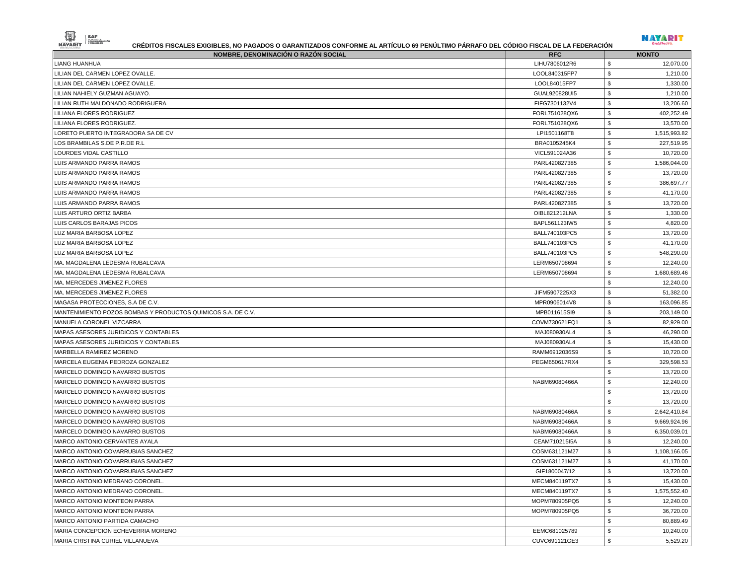

| NOMBRE, DENOMINACIÓN O RAZÓN SOCIAL                          | <b>RFC</b>    | <b>MONTO</b>       |
|--------------------------------------------------------------|---------------|--------------------|
| LIANG HUANHUA                                                | LIHU7806012R6 | \$<br>12,070.00    |
| LILIAN DEL CARMEN LOPEZ OVALLE.                              | LOOL840315FP7 | \$<br>1,210.00     |
| LILIAN DEL CARMEN LOPEZ OVALLE.                              | LOOL84015FP7  | \$<br>1,330.00     |
| LILIAN NAHIELY GUZMAN AGUAYO.                                | GUAL920828UI5 | \$<br>1,210.00     |
| LILIAN RUTH MALDONADO RODRIGUERA                             | FIFG7301132V4 | \$<br>13,206.60    |
| LILIANA FLORES RODRIGUEZ                                     | FORL751028QX6 | \$<br>402,252.49   |
| LILIANA FLORES RODRIGUEZ.                                    | FORL751028QX6 | \$<br>13,570.00    |
| LORETO PUERTO INTEGRADORA SA DE CV                           | LPI1501168T8  | \$<br>1,515,993.82 |
| LOS BRAMBILAS S.DE P.R.DE R.L                                | BRA0105245K4  | \$<br>227,519.95   |
| LOURDES VIDAL CASTILLO                                       | VICL591024A36 | \$<br>10,720.00    |
| LUIS ARMANDO PARRA RAMOS                                     | PARL420827385 | \$<br>1,586,044.00 |
| LUIS ARMANDO PARRA RAMOS                                     | PARL420827385 | \$<br>13,720.00    |
| LUIS ARMANDO PARRA RAMOS                                     | PARL420827385 | \$<br>386,697.77   |
| LUIS ARMANDO PARRA RAMOS                                     | PARL420827385 | \$<br>41,170.00    |
| LUIS ARMANDO PARRA RAMOS                                     | PARL420827385 | \$<br>13,720.00    |
| LUIS ARTURO ORTIZ BARBA                                      | OIBL821212LNA | \$<br>1,330.00     |
| LUIS CARLOS BARAJAS PICOS                                    | BAPL561123IW5 | \$<br>4,820.00     |
| LUZ MARIA BARBOSA LOPEZ                                      | BALL740103PC5 | \$<br>13,720.00    |
| LUZ MARIA BARBOSA LOPEZ                                      | BALL740103PC5 | \$<br>41,170.00    |
| LUZ MARIA BARBOSA LOPEZ                                      | BALL740103PC5 | \$<br>548,290.00   |
| MA. MAGDALENA LEDESMA RUBALCAVA                              | LERM650708694 | \$<br>12,240.00    |
| MA. MAGDALENA LEDESMA RUBALCAVA                              | LERM650708694 | \$<br>1,680,689.46 |
| MA. MERCEDES JIMENEZ FLORES                                  |               | \$<br>12,240.00    |
| MA. MERCEDES JIMENEZ FLORES                                  | JIFM5907225X3 | \$<br>51,382.00    |
| MAGASA PROTECCIONES, S.A DE C.V.                             | MPR0906014V8  | \$<br>163,096.85   |
| MANTENIMIENTO POZOS BOMBAS Y PRODUCTOS QUIMICOS S.A. DE C.V. | MPB011615SI9  | \$<br>203,149.00   |
| MANUELA CORONEL VIZCARRA                                     | COVM730621FQ1 | \$<br>82,929.00    |
| MAPAS ASESORES JURIDICOS Y CONTABLES                         | MAJ080930AL4  | \$<br>46,290.00    |
| MAPAS ASESORES JURIDICOS Y CONTABLES                         | MAJ080930AL4  | \$<br>15,430.00    |
| MARBELLA RAMIREZ MORENO                                      | RAMM6912036S9 | \$<br>10,720.00    |
| MARCELA EUGENIA PEDROZA GONZALEZ                             | PEGM650617RX4 | \$<br>329,598.53   |
| MARCELO DOMINGO NAVARRO BUSTOS                               |               | \$<br>13,720.00    |
| MARCELO DOMINGO NAVARRO BUSTOS                               | NABM69080466A | \$<br>12,240.00    |
| MARCELO DOMINGO NAVARRO BUSTOS                               |               | \$<br>13,720.00    |
| MARCELO DOMINGO NAVARRO BUSTOS                               |               | 13,720.00<br>\$    |
| MARCELO DOMINGO NAVARRO BUSTOS                               | NABM69080466A | \$<br>2,642,410.84 |
| MARCELO DOMINGO NAVARRO BUSTOS                               | NABM69080466A | \$<br>9,669,924.96 |
| MARCELO DOMINGO NAVARRO BUSTOS                               | NABM69080466A | \$<br>6,350,039.01 |
| MARCO ANTONIO CERVANTES AYALA                                | CEAM710215I5A | \$<br>12,240.00    |
| MARCO ANTONIO COVARRUBIAS SANCHEZ                            | COSM631121M27 | \$<br>1,108,166.05 |
| MARCO ANTONIO COVARRUBIAS SANCHEZ                            | COSM631121M27 | \$<br>41,170.00    |
| MARCO ANTONIO COVARRUBIAS SANCHEZ                            | GIF1800047/12 | \$<br>13,720.00    |
| MARCO ANTONIO MEDRANO CORONEL.                               | MECM840119TX7 | \$<br>15,430.00    |
| MARCO ANTONIO MEDRANO CORONEL.                               | MECM840119TX7 | \$<br>1,575,552.40 |
| <b>MARCO ANTONIO MONTEON PARRA</b>                           | MOPM780905PQ5 | \$<br>12,240.00    |
| <b>MARCO ANTONIO MONTEON PARRA</b>                           | MOPM780905PQ5 | \$<br>36,720.00    |
| MARCO ANTONIO PARTIDA CAMACHO                                |               | \$<br>80,889.49    |
| MARIA CONCEPCION ECHEVERRIA MORENO                           | EEMC681025789 | \$<br>10,240.00    |
| MARIA CRISTINA CURIEL VILLANUEVA                             | CUVC691121GE3 | \$<br>5,529.20     |
|                                                              |               |                    |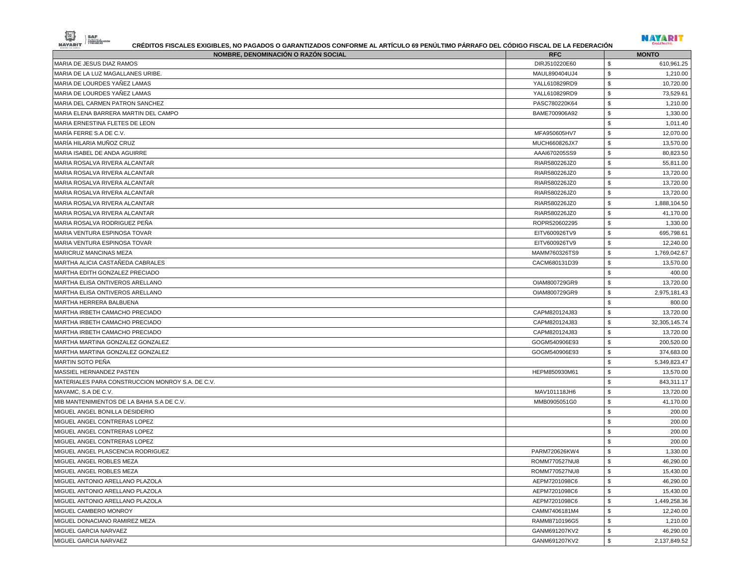| DIRJ510220E60<br>\$<br>\$<br>MAUL890404UJ4<br>\$<br>MARIA DE LOURDES YANEZ LAMAS<br>YALL610829RD9<br>MARIA DE LOURDES YAÑEZ LAMAS<br>\$<br>YALL610829RD9<br>\$<br>PASC780220K64<br>\$<br>MARIA ELENA BARRERA MARTIN DEL CAMPO<br>BAME700906A92<br>\$<br>MARIA ERNESTINA FLETES DE LEON<br>\$<br>MARÍA FERRE S.A DE C.V.<br>MFA950605HV7<br>\$<br>MUCH660826JX7<br>\$<br>AAAI670205SS9<br>\$<br>MARIA ROSALVA RIVERA ALCANTAR<br>RIAR580226JZ0<br>\$<br>MARIA ROSALVA RIVERA ALCANTAR<br>RIAR580226JZ0<br>\$<br>RIAR580226JZ0<br>\$<br>MARIA ROSALVA RIVERA ALCANTAR<br>RIAR580226JZ0<br>\$<br>MARIA ROSALVA RIVERA ALCANTAR<br>RIAR580226JZ0<br>\$<br>MARIA ROSALVA RIVERA ALCANTAR<br>RIAR580226JZ0<br>\$<br>MARIA ROSALVA RODRIGUEZ PENA<br>ROPR520602295<br>\$<br>EITV600926TV9<br>\$<br>MARIA VENTURA ESPINOSA TOVAR<br>EITV600926TV9<br>\$<br><b>MARICRUZ MANCINAS MEZA</b><br>MAMM760326TS9<br>\$<br>CACM680131D39<br>MARTHA ALICIA CASTAÑEDA CABRALES<br>13,570.00<br>MARTHA EDITH GONZALEZ PRECIADO<br>\$<br>\$<br>OIAM800729GR9<br>\$<br>MARTHA ELISA ONTIVEROS ARELLANO<br>OIAM800729GR9<br>\$<br>MARTHA HERRERA BALBUENA<br>\$<br>CAPM820124J83<br>\$<br>CAPM820124J83<br>\$<br>MARTHA IRBETH CAMACHO PRECIADO<br>CAPM820124J83<br>\$<br>MARTHA MARTINA GONZALEZ GONZALEZ<br>GOGM540906E93<br>\$<br>GOGM540906E93<br>\$<br>\$<br>HEPM850930M61<br>\$<br>MATERIALES PARA CONSTRUCCION MONROY S.A. DE C.V.<br>\$<br>MAV101118JH6<br>\$<br>MMB0905051G0<br>\$<br>\$<br>MIGUEL ANGEL CONTRERAS LOPEZ<br>\$<br>\$<br>PARM720626KW4<br>\$<br>\$<br>ROMM770527NU8<br>\$<br>ROMM770527NU8<br>\$<br>AEPM7201098C6<br>\$<br>AEPM7201098C6<br>\$<br>AEPM7201098C6<br>\$<br>CAMM7406181M4<br>\$<br>RAMM8710196G5<br>\$<br>GANM691207KV2<br>\$<br>GANM691207KV2 | NOMBRE, DENOMINACIÓN O RAZÓN SOCIAL        | <b>RFC</b> | <b>MONTO</b>    |
|---------------------------------------------------------------------------------------------------------------------------------------------------------------------------------------------------------------------------------------------------------------------------------------------------------------------------------------------------------------------------------------------------------------------------------------------------------------------------------------------------------------------------------------------------------------------------------------------------------------------------------------------------------------------------------------------------------------------------------------------------------------------------------------------------------------------------------------------------------------------------------------------------------------------------------------------------------------------------------------------------------------------------------------------------------------------------------------------------------------------------------------------------------------------------------------------------------------------------------------------------------------------------------------------------------------------------------------------------------------------------------------------------------------------------------------------------------------------------------------------------------------------------------------------------------------------------------------------------------------------------------------------------------------------------------------------------------------------------------------------------------------|--------------------------------------------|------------|-----------------|
|                                                                                                                                                                                                                                                                                                                                                                                                                                                                                                                                                                                                                                                                                                                                                                                                                                                                                                                                                                                                                                                                                                                                                                                                                                                                                                                                                                                                                                                                                                                                                                                                                                                                                                                                                               | MARIA DE JESUS DIAZ RAMOS                  |            | 610,961.25      |
|                                                                                                                                                                                                                                                                                                                                                                                                                                                                                                                                                                                                                                                                                                                                                                                                                                                                                                                                                                                                                                                                                                                                                                                                                                                                                                                                                                                                                                                                                                                                                                                                                                                                                                                                                               | MARIA DE LA LUZ MAGALLANES URIBE.          |            | 1,210.00        |
|                                                                                                                                                                                                                                                                                                                                                                                                                                                                                                                                                                                                                                                                                                                                                                                                                                                                                                                                                                                                                                                                                                                                                                                                                                                                                                                                                                                                                                                                                                                                                                                                                                                                                                                                                               |                                            |            | 10,720.00       |
|                                                                                                                                                                                                                                                                                                                                                                                                                                                                                                                                                                                                                                                                                                                                                                                                                                                                                                                                                                                                                                                                                                                                                                                                                                                                                                                                                                                                                                                                                                                                                                                                                                                                                                                                                               |                                            |            | 73,529.61       |
|                                                                                                                                                                                                                                                                                                                                                                                                                                                                                                                                                                                                                                                                                                                                                                                                                                                                                                                                                                                                                                                                                                                                                                                                                                                                                                                                                                                                                                                                                                                                                                                                                                                                                                                                                               | MARIA DEL CARMEN PATRON SANCHEZ            |            | 1,210.00        |
|                                                                                                                                                                                                                                                                                                                                                                                                                                                                                                                                                                                                                                                                                                                                                                                                                                                                                                                                                                                                                                                                                                                                                                                                                                                                                                                                                                                                                                                                                                                                                                                                                                                                                                                                                               |                                            |            | 1,330.00        |
|                                                                                                                                                                                                                                                                                                                                                                                                                                                                                                                                                                                                                                                                                                                                                                                                                                                                                                                                                                                                                                                                                                                                                                                                                                                                                                                                                                                                                                                                                                                                                                                                                                                                                                                                                               |                                            |            | 1,011.40        |
|                                                                                                                                                                                                                                                                                                                                                                                                                                                                                                                                                                                                                                                                                                                                                                                                                                                                                                                                                                                                                                                                                                                                                                                                                                                                                                                                                                                                                                                                                                                                                                                                                                                                                                                                                               |                                            |            | 12,070.00       |
|                                                                                                                                                                                                                                                                                                                                                                                                                                                                                                                                                                                                                                                                                                                                                                                                                                                                                                                                                                                                                                                                                                                                                                                                                                                                                                                                                                                                                                                                                                                                                                                                                                                                                                                                                               | MARÍA HILARIA MUÑOZ CRUZ                   |            | 13,570.00       |
|                                                                                                                                                                                                                                                                                                                                                                                                                                                                                                                                                                                                                                                                                                                                                                                                                                                                                                                                                                                                                                                                                                                                                                                                                                                                                                                                                                                                                                                                                                                                                                                                                                                                                                                                                               | MARIA ISABEL DE ANDA AGUIRRE               |            | 80,823.50       |
|                                                                                                                                                                                                                                                                                                                                                                                                                                                                                                                                                                                                                                                                                                                                                                                                                                                                                                                                                                                                                                                                                                                                                                                                                                                                                                                                                                                                                                                                                                                                                                                                                                                                                                                                                               |                                            |            | 55,811.00       |
|                                                                                                                                                                                                                                                                                                                                                                                                                                                                                                                                                                                                                                                                                                                                                                                                                                                                                                                                                                                                                                                                                                                                                                                                                                                                                                                                                                                                                                                                                                                                                                                                                                                                                                                                                               |                                            |            | 13,720.00       |
|                                                                                                                                                                                                                                                                                                                                                                                                                                                                                                                                                                                                                                                                                                                                                                                                                                                                                                                                                                                                                                                                                                                                                                                                                                                                                                                                                                                                                                                                                                                                                                                                                                                                                                                                                               | MARIA ROSALVA RIVERA ALCANTAR              |            | 13,720.00       |
|                                                                                                                                                                                                                                                                                                                                                                                                                                                                                                                                                                                                                                                                                                                                                                                                                                                                                                                                                                                                                                                                                                                                                                                                                                                                                                                                                                                                                                                                                                                                                                                                                                                                                                                                                               |                                            |            | 13,720.00       |
|                                                                                                                                                                                                                                                                                                                                                                                                                                                                                                                                                                                                                                                                                                                                                                                                                                                                                                                                                                                                                                                                                                                                                                                                                                                                                                                                                                                                                                                                                                                                                                                                                                                                                                                                                               |                                            |            | 1,888,104.50    |
|                                                                                                                                                                                                                                                                                                                                                                                                                                                                                                                                                                                                                                                                                                                                                                                                                                                                                                                                                                                                                                                                                                                                                                                                                                                                                                                                                                                                                                                                                                                                                                                                                                                                                                                                                               |                                            |            | 41,170.00       |
|                                                                                                                                                                                                                                                                                                                                                                                                                                                                                                                                                                                                                                                                                                                                                                                                                                                                                                                                                                                                                                                                                                                                                                                                                                                                                                                                                                                                                                                                                                                                                                                                                                                                                                                                                               |                                            |            | 1,330.00        |
|                                                                                                                                                                                                                                                                                                                                                                                                                                                                                                                                                                                                                                                                                                                                                                                                                                                                                                                                                                                                                                                                                                                                                                                                                                                                                                                                                                                                                                                                                                                                                                                                                                                                                                                                                               | MARIA VENTURA ESPINOSA TOVAR               |            | 695,798.61      |
|                                                                                                                                                                                                                                                                                                                                                                                                                                                                                                                                                                                                                                                                                                                                                                                                                                                                                                                                                                                                                                                                                                                                                                                                                                                                                                                                                                                                                                                                                                                                                                                                                                                                                                                                                               |                                            |            | 12,240.00       |
|                                                                                                                                                                                                                                                                                                                                                                                                                                                                                                                                                                                                                                                                                                                                                                                                                                                                                                                                                                                                                                                                                                                                                                                                                                                                                                                                                                                                                                                                                                                                                                                                                                                                                                                                                               |                                            |            | 1,769,042.67    |
|                                                                                                                                                                                                                                                                                                                                                                                                                                                                                                                                                                                                                                                                                                                                                                                                                                                                                                                                                                                                                                                                                                                                                                                                                                                                                                                                                                                                                                                                                                                                                                                                                                                                                                                                                               |                                            |            |                 |
|                                                                                                                                                                                                                                                                                                                                                                                                                                                                                                                                                                                                                                                                                                                                                                                                                                                                                                                                                                                                                                                                                                                                                                                                                                                                                                                                                                                                                                                                                                                                                                                                                                                                                                                                                               |                                            |            | 400.00          |
|                                                                                                                                                                                                                                                                                                                                                                                                                                                                                                                                                                                                                                                                                                                                                                                                                                                                                                                                                                                                                                                                                                                                                                                                                                                                                                                                                                                                                                                                                                                                                                                                                                                                                                                                                               | MARTHA ELISA ONTIVEROS ARELLANO            |            | 13,720.00       |
|                                                                                                                                                                                                                                                                                                                                                                                                                                                                                                                                                                                                                                                                                                                                                                                                                                                                                                                                                                                                                                                                                                                                                                                                                                                                                                                                                                                                                                                                                                                                                                                                                                                                                                                                                               |                                            |            | 2,975,181.43    |
|                                                                                                                                                                                                                                                                                                                                                                                                                                                                                                                                                                                                                                                                                                                                                                                                                                                                                                                                                                                                                                                                                                                                                                                                                                                                                                                                                                                                                                                                                                                                                                                                                                                                                                                                                               |                                            |            | 800.00          |
|                                                                                                                                                                                                                                                                                                                                                                                                                                                                                                                                                                                                                                                                                                                                                                                                                                                                                                                                                                                                                                                                                                                                                                                                                                                                                                                                                                                                                                                                                                                                                                                                                                                                                                                                                               | <b>MARTHA IRBETH CAMACHO PRECIADO</b>      |            | 13,720.00       |
|                                                                                                                                                                                                                                                                                                                                                                                                                                                                                                                                                                                                                                                                                                                                                                                                                                                                                                                                                                                                                                                                                                                                                                                                                                                                                                                                                                                                                                                                                                                                                                                                                                                                                                                                                               | <b>MARTHA IRBETH CAMACHO PRECIADO</b>      |            | 32, 305, 145.74 |
|                                                                                                                                                                                                                                                                                                                                                                                                                                                                                                                                                                                                                                                                                                                                                                                                                                                                                                                                                                                                                                                                                                                                                                                                                                                                                                                                                                                                                                                                                                                                                                                                                                                                                                                                                               |                                            |            | 13,720.00       |
|                                                                                                                                                                                                                                                                                                                                                                                                                                                                                                                                                                                                                                                                                                                                                                                                                                                                                                                                                                                                                                                                                                                                                                                                                                                                                                                                                                                                                                                                                                                                                                                                                                                                                                                                                               |                                            |            | 200,520.00      |
|                                                                                                                                                                                                                                                                                                                                                                                                                                                                                                                                                                                                                                                                                                                                                                                                                                                                                                                                                                                                                                                                                                                                                                                                                                                                                                                                                                                                                                                                                                                                                                                                                                                                                                                                                               | MARTHA MARTINA GONZALEZ GONZALEZ           |            | 374,683.00      |
|                                                                                                                                                                                                                                                                                                                                                                                                                                                                                                                                                                                                                                                                                                                                                                                                                                                                                                                                                                                                                                                                                                                                                                                                                                                                                                                                                                                                                                                                                                                                                                                                                                                                                                                                                               | MARTIN SOTO PEÑA                           |            | 5,349,823.47    |
|                                                                                                                                                                                                                                                                                                                                                                                                                                                                                                                                                                                                                                                                                                                                                                                                                                                                                                                                                                                                                                                                                                                                                                                                                                                                                                                                                                                                                                                                                                                                                                                                                                                                                                                                                               | <b>MASSIEL HERNANDEZ PASTEN</b>            |            | 13,570.00       |
|                                                                                                                                                                                                                                                                                                                                                                                                                                                                                                                                                                                                                                                                                                                                                                                                                                                                                                                                                                                                                                                                                                                                                                                                                                                                                                                                                                                                                                                                                                                                                                                                                                                                                                                                                               |                                            |            | 843,311.17      |
|                                                                                                                                                                                                                                                                                                                                                                                                                                                                                                                                                                                                                                                                                                                                                                                                                                                                                                                                                                                                                                                                                                                                                                                                                                                                                                                                                                                                                                                                                                                                                                                                                                                                                                                                                               | MAVAMC, S.A DE C.V.                        |            | 13,720.00       |
|                                                                                                                                                                                                                                                                                                                                                                                                                                                                                                                                                                                                                                                                                                                                                                                                                                                                                                                                                                                                                                                                                                                                                                                                                                                                                                                                                                                                                                                                                                                                                                                                                                                                                                                                                               | MIB MANTENIMIENTOS DE LA BAHIA S.A DE C.V. |            | 41,170.00       |
|                                                                                                                                                                                                                                                                                                                                                                                                                                                                                                                                                                                                                                                                                                                                                                                                                                                                                                                                                                                                                                                                                                                                                                                                                                                                                                                                                                                                                                                                                                                                                                                                                                                                                                                                                               | MIGUEL ANGEL BONILLA DESIDERIO             |            | 200.00          |
|                                                                                                                                                                                                                                                                                                                                                                                                                                                                                                                                                                                                                                                                                                                                                                                                                                                                                                                                                                                                                                                                                                                                                                                                                                                                                                                                                                                                                                                                                                                                                                                                                                                                                                                                                               |                                            |            | 200.00          |
|                                                                                                                                                                                                                                                                                                                                                                                                                                                                                                                                                                                                                                                                                                                                                                                                                                                                                                                                                                                                                                                                                                                                                                                                                                                                                                                                                                                                                                                                                                                                                                                                                                                                                                                                                               | MIGUEL ANGEL CONTRERAS LOPEZ               |            | 200.00          |
|                                                                                                                                                                                                                                                                                                                                                                                                                                                                                                                                                                                                                                                                                                                                                                                                                                                                                                                                                                                                                                                                                                                                                                                                                                                                                                                                                                                                                                                                                                                                                                                                                                                                                                                                                               | MIGUEL ANGEL CONTRERAS LOPEZ               |            | 200.00          |
|                                                                                                                                                                                                                                                                                                                                                                                                                                                                                                                                                                                                                                                                                                                                                                                                                                                                                                                                                                                                                                                                                                                                                                                                                                                                                                                                                                                                                                                                                                                                                                                                                                                                                                                                                               | MIGUEL ANGEL PLASCENCIA RODRIGUEZ          |            | 1,330.00        |
|                                                                                                                                                                                                                                                                                                                                                                                                                                                                                                                                                                                                                                                                                                                                                                                                                                                                                                                                                                                                                                                                                                                                                                                                                                                                                                                                                                                                                                                                                                                                                                                                                                                                                                                                                               | MIGUEL ANGEL ROBLES MEZA                   |            | 46,290.00       |
|                                                                                                                                                                                                                                                                                                                                                                                                                                                                                                                                                                                                                                                                                                                                                                                                                                                                                                                                                                                                                                                                                                                                                                                                                                                                                                                                                                                                                                                                                                                                                                                                                                                                                                                                                               | MIGUEL ANGEL ROBLES MEZA                   |            | 15,430.00       |
|                                                                                                                                                                                                                                                                                                                                                                                                                                                                                                                                                                                                                                                                                                                                                                                                                                                                                                                                                                                                                                                                                                                                                                                                                                                                                                                                                                                                                                                                                                                                                                                                                                                                                                                                                               | <b>MIGUEL ANTONIO ARELLANO PLAZOLA</b>     |            | 46,290.00       |
|                                                                                                                                                                                                                                                                                                                                                                                                                                                                                                                                                                                                                                                                                                                                                                                                                                                                                                                                                                                                                                                                                                                                                                                                                                                                                                                                                                                                                                                                                                                                                                                                                                                                                                                                                               | MIGUEL ANTONIO ARELLANO PLAZOLA            |            | 15,430.00       |
|                                                                                                                                                                                                                                                                                                                                                                                                                                                                                                                                                                                                                                                                                                                                                                                                                                                                                                                                                                                                                                                                                                                                                                                                                                                                                                                                                                                                                                                                                                                                                                                                                                                                                                                                                               | MIGUEL ANTONIO ARELLANO PLAZOLA            |            | 1,449,258.36    |
|                                                                                                                                                                                                                                                                                                                                                                                                                                                                                                                                                                                                                                                                                                                                                                                                                                                                                                                                                                                                                                                                                                                                                                                                                                                                                                                                                                                                                                                                                                                                                                                                                                                                                                                                                               | MIGUEL CAMBERO MONROY                      |            | 12,240.00       |
|                                                                                                                                                                                                                                                                                                                                                                                                                                                                                                                                                                                                                                                                                                                                                                                                                                                                                                                                                                                                                                                                                                                                                                                                                                                                                                                                                                                                                                                                                                                                                                                                                                                                                                                                                               | MIGUEL DONACIANO RAMIREZ MEZA              |            | 1,210.00        |
|                                                                                                                                                                                                                                                                                                                                                                                                                                                                                                                                                                                                                                                                                                                                                                                                                                                                                                                                                                                                                                                                                                                                                                                                                                                                                                                                                                                                                                                                                                                                                                                                                                                                                                                                                               | MIGUEL GARCIA NARVAEZ                      |            | 46,290.00       |
|                                                                                                                                                                                                                                                                                                                                                                                                                                                                                                                                                                                                                                                                                                                                                                                                                                                                                                                                                                                                                                                                                                                                                                                                                                                                                                                                                                                                                                                                                                                                                                                                                                                                                                                                                               | MIGUEL GARCIA NARVAEZ                      |            | 2,137,849.52    |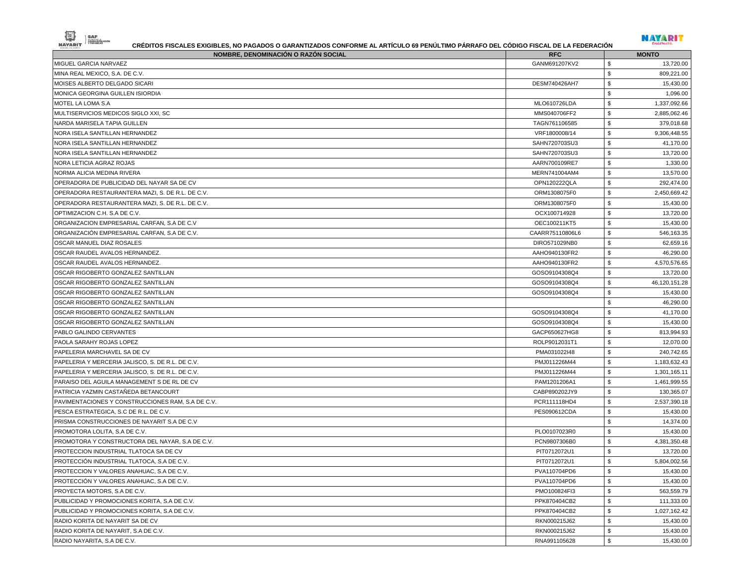|--|--|--|



| <b>NOMBRE, DENOMINACIÓN O RAZÓN SOCIAL</b>        | <b>RFC</b>      | <b>MONTO</b>               |
|---------------------------------------------------|-----------------|----------------------------|
| MIGUEL GARCIA NARVAEZ                             | GANM691207KV2   | \$<br>13,720.00            |
| MINA REAL MEXICO, S.A. DE C.V.                    |                 | \$<br>809,221.00           |
| MOISES ALBERTO DELGADO SICARI                     | DESM740426AH7   | \$<br>15,430.00            |
| MONICA GEORGINA GUILLEN ISIORDIA                  |                 | \$<br>1,096.00             |
| MOTEL LA LOMA S.A                                 | MLO610726LDA    | \$<br>1,337,092.66         |
| MULTISERVICIOS MEDICOS SIGLO XXI, SC              | MMS040706FF2    | \$<br>2,885,062.46         |
| NARDA MARISELA TAPIA GUILLEN                      | TAGN761106585   | \$<br>379,018.68           |
| NORA ISELA SANTILLAN HERNANDEZ                    | VRF1800008/14   | \$<br>9,306,448.55         |
| NORA ISELA SANTILLAN HERNANDEZ                    | SAHN720703SU3   | \$<br>41,170.00            |
| NORA ISELA SANTILLAN HERNANDEZ                    | SAHN720703SU3   | \$<br>13,720.00            |
| NORA LETICIA AGRAZ ROJAS                          | AARN700109RE7   | \$<br>1,330.00             |
| NORMA ALICIA MEDINA RIVERA                        | MERN741004AM4   | \$<br>13,570.00            |
| OPERADORA DE PUBLICIDAD DEL NAYAR SA DE CV        | OPN120222QLA    | \$<br>292,474.00           |
| OPERADORA RESTAURANTERA MAZI, S. DE R.L. DE C.V.  | ORM1308075F0    | \$<br>2,450,669.42         |
| OPERADORA RESTAURANTERA MAZI, S. DE R.L. DE C.V.  | ORM1308075F0    | \$<br>15,430.00            |
| OPTIMIZACION C.H. S.A DE C.V.                     | OCX100714928    | \$<br>13,720.00            |
| ORGANIZACION EMPRESARIAL CARFAN, S.A DE C.V       | OEC100211KT5    | \$<br>15,430.00            |
| ORGANIZACIÓN EMPRESARIAL CARFAN, S.A DE C.V.      | CAARR75110806L6 | \$<br>546,163.35           |
| OSCAR MANUEL DIAZ ROSALES                         | DIRO571029NB0   | $\mathbb{S}$<br>62,659.16  |
| OSCAR RAUDEL AVALOS HERNANDEZ.                    | AAHO940130FR2   | \$<br>46,290.00            |
| OSCAR RAUDEL AVALOS HERNANDEZ.                    | AAHO940130FR2   | \$<br>4,570,576.65         |
| OSCAR RIGOBERTO GONZALEZ SANTILLAN                | GOSO9104308Q4   | \$<br>13,720.00            |
| OSCAR RIGOBERTO GONZALEZ SANTILLAN                | GOSO9104308Q4   | \$<br>46,120,151.28        |
| OSCAR RIGOBERTO GONZALEZ SANTILLAN                | GOSO9104308Q4   | \$<br>15,430.00            |
| OSCAR RIGOBERTO GONZALEZ SANTILLAN                |                 | \$<br>46,290.00            |
| OSCAR RIGOBERTO GONZALEZ SANTILLAN                | GOSO9104308Q4   | \$<br>41,170.00            |
| OSCAR RIGOBERTO GONZALEZ SANTILLAN                | GOSO9104308Q4   | \$<br>15,430.00            |
| PABLO GALINDO CERVANTES                           | GACP650627HG8   | \$<br>813,994.93           |
| PAOLA SARAHY ROJAS LOPEZ                          | ROLP9012031T1   | \$<br>12,070.00            |
| PAPELERIA MARCHAVEL SA DE CV                      | PMA031022I48    | \$<br>240,742.65           |
| PAPELERIA Y MERCERIA JALISCO, S. DE R.L. DE C.V.  | PMJ011226M44    | \$<br>1,183,632.43         |
| PAPELERIA Y MERCERIA JALISCO, S. DE R.L. DE C.V.  | PMJ011226M44    | \$<br>1,301,165.11         |
| PARAISO DEL AGUILA MANAGEMENT S DE RL DE CV       | PAM1201206A1    | \$<br>1,461,999.55         |
| PATRICIA YAZMIN CASTAÑEDA BETANCOURT              | CABP890202JY9   | \$<br>130,365.07           |
| PAVIMENTACIONES Y CONSTRUCCIONES RAM, S.A DE C.V. | PCR111118HD4    | \$<br>2,537,390.18         |
| PESCA ESTRATEGICA, S.C DE R.L. DE C.V.            | PES090612CDA    | \$<br>15,430.00            |
| PRISMA CONSTRUCCIONES DE NAYARIT S.A DE C.V       |                 | \$<br>14,374.00            |
| PROMOTORA LOLITA, S.A DE C.V.                     | PLO0107023R0    | \$<br>15,430.00            |
| PROMOTORA Y CONSTRUCTORA DEL NAYAR, S.A DE C.V.   | PCN9807306B0    | \$<br>4,381,350.48         |
| PROTECCION INDUSTRIAL TLATOCA SA DE CV            | PIT0712072U1    | \$<br>13,720.00            |
| PROTECCIÓN INDUSTRIAL TLATOCA, S.A DE C.V.        | PIT0712072U1    | $\,$<br>5,804,002.56       |
| PROTECCION Y VALORES ANAHUAC, S.A DE C.V.         | PVA110704PD6    | $\,$<br>15,430.00          |
| PROTECCIÓN Y VALORES ANAHUAC, S.A DE C.V.         | PVA110704PD6    | $\mathbb{S}$<br>15,430.00  |
| PROYECTA MOTORS, S.A DE C.V.                      | PMO100824FI3    | \$<br>563,559.79           |
| PUBLICIDAD Y PROMOCIONES KORITA, S.A DE C.V.      | PPK870404CB2    | \$<br>111,333.00           |
| PUBLICIDAD Y PROMOCIONES KORITA, S.A DE C.V.      | PPK870404CB2    | \$<br>1,027,162.42         |
| RADIO KORITA DE NAYARIT SA DE CV                  | RKN000215J62    | $\mathfrak s$<br>15,430.00 |
| RADIO KORITA DE NAYARIT, S.A DE C.V.              | RKN000215J62    | $\mathbb{S}$<br>15,430.00  |
| RADIO NAYARITA, S.A DE C.V.                       | RNA991105628    | \$<br>15,430.00            |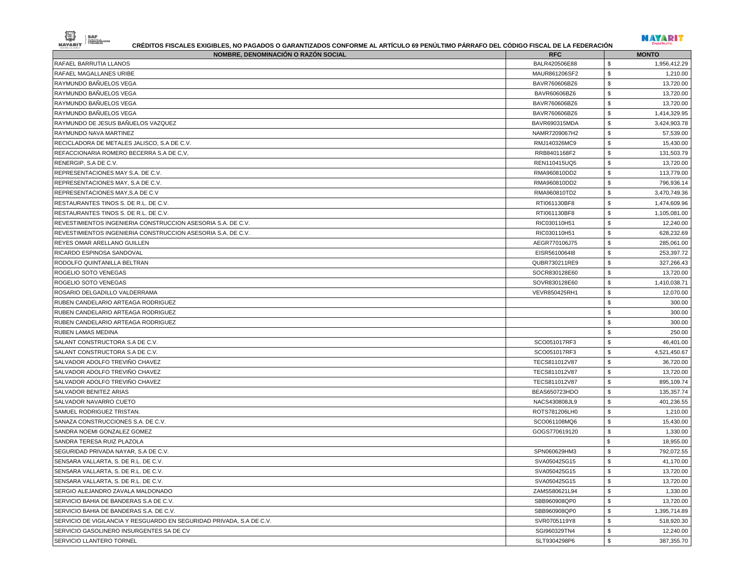| 働<br>ADMINISTRACIÓN<br><b>NAYARIT</b><br>CRÉDITOS FISCALES EXIGIBLES, NO PAGADOS O GARANTIZADOS CONFORME AL ARTÍCULO 69 PENÚLTIMO PÁRRAFO DEL CÓDIGO FISCAL DE LA FEDERACIÓN |               | NAYARIT       |              |
|------------------------------------------------------------------------------------------------------------------------------------------------------------------------------|---------------|---------------|--------------|
| NOMBRE, DENOMINACIÓN O RAZÓN SOCIAL                                                                                                                                          | <b>RFC</b>    | <b>MONTO</b>  |              |
| RAFAEL BARRUTIA LLANOS                                                                                                                                                       | BALR420506E88 | \$            | 1,956,412.29 |
| RAFAEL MAGALLANES URIBE                                                                                                                                                      | MAUR861206SF2 | \$            | 1,210.00     |
| RAYMUNDO BAÑUELOS VEGA                                                                                                                                                       | BAVR760606BZ6 | \$            | 13,720.00    |
| RAYMUNDO BAÑUELOS VEGA                                                                                                                                                       | BAVR60606BZ6  | \$            | 13,720.00    |
| RAYMUNDO BAÑUELOS VEGA                                                                                                                                                       | BAVR760606BZ6 | \$            | 13,720.00    |
| RAYMUNDO BAÑUELOS VEGA                                                                                                                                                       | BAVR760606BZ6 | \$            | 1,414,329.95 |
| RAYMUNDO DE JESUS BAÑUELOS VAZQUEZ                                                                                                                                           | BAVR690315MDA | \$            | 3,424,903.78 |
| RAYMUNDO NAVA MARTINEZ                                                                                                                                                       | NAMR7209067H2 | \$            | 57,539.00    |
| RECICLADORA DE METALES JALISCO, S.A DE C.V.                                                                                                                                  | RMJ140326MC9  | \$            | 15,430.00    |
| REFACCIONARIA ROMERO BECERRA S.A DE C.V.                                                                                                                                     | RRB8401168F2  | \$            | 131,503.79   |
| RENERGIP. S.A DE C.V.                                                                                                                                                        | REN110415UQ5  | \$            | 13,720.00    |
| REPRESENTACIONES MAY S.A. DE C.V.                                                                                                                                            | RMA960810DD2  | \$            | 113,779.00   |
| REPRESENTACIONES MAY, S.A DE C.V.                                                                                                                                            | RMA960810DD2  | \$            | 796,936.14   |
| REPRESENTACIONES MAY,S.A DE C.V                                                                                                                                              | RMA960810TD2  | \$            | 3,470,749.36 |
| RESTAURANTES TINOS S. DE R.L. DE C.V.                                                                                                                                        | RTI061130BF8  | \$            | 1,474,609.96 |
| RESTAURANTES TINOS S. DE R.L. DE C.V.                                                                                                                                        | RTI061130BF8  | \$            | 1,105,081.00 |
| REVESTIMIENTOS INGENIERIA CONSTRUCCION ASESORIA S.A. DE C.V.                                                                                                                 | RIC030110H51  | \$            | 12.240.00    |
| REVESTIMIENTOS INGENIERIA CONSTRUCCION ASESORIA S.A. DE C.V.                                                                                                                 | RIC030110H51  | \$            | 628,232.69   |
| REYES OMAR ARELLANO GUILLEN                                                                                                                                                  | AEGR770106J75 | \$            | 285,061.00   |
| RICARDO ESPINOSA SANDOVAL                                                                                                                                                    | EISR5610064I8 | \$            | 253,397.72   |
| RODOLFO QUINTANILLA BELTRAN                                                                                                                                                  | QUBR730211RE9 | \$            | 327,266.43   |
| ROGELIO SOTO VENEGAS                                                                                                                                                         | SOCR830128E60 | \$            | 13,720.00    |
| ROGELIO SOTO VENEGAS                                                                                                                                                         | SOVR830128E60 | \$            | 1,410,038.71 |
| ROSARIO DELGADILLO VALDERRAMA                                                                                                                                                | VEVR850425RH1 | \$            | 12,070.00    |
| RUBEN CANDELARIO ARTEAGA RODRIGUEZ                                                                                                                                           |               | \$            | 300.00       |
| RUBEN CANDELARIO ARTEAGA RODRIGUEZ                                                                                                                                           |               | \$            | 300.00       |
| RUBEN CANDELARIO ARTEAGA RODRIGUEZ                                                                                                                                           |               | \$            | 300.00       |
| RUBEN LAMAS MEDINA                                                                                                                                                           |               | \$            | 250.00       |
| SALANT CONSTRUCTORA S.A DE C.V.                                                                                                                                              | SCO051017RF3  | \$            | 46,401.00    |
| SALANT CONSTRUCTORA S.A DE C.V.                                                                                                                                              | SCO051017RF3  | \$            | 4,521,450.67 |
| SALVADOR ADOLFO TREVIÑO CHAVEZ                                                                                                                                               | TECS811012V87 | \$            | 36,720.00    |
| SALVADOR ADOLFO TREVIÑO CHAVEZ                                                                                                                                               | TECS811012V87 | \$            | 13,720.00    |
| SALVADOR ADOLFO TREVIÑO CHAVEZ                                                                                                                                               | TECS811012V87 | \$            | 895,109.74   |
| SALVADOR BENITEZ ARIAS                                                                                                                                                       | BEAS650723HDO | \$            | 135,357.74   |
| SALVADOR NAVARRO CUETO                                                                                                                                                       | NACS430808JL9 | \$            | 401,236.55   |
| SAMUEL RODRIGUEZ TRISTAN                                                                                                                                                     | ROTS781206LH0 | \$            | 1,210.00     |
| SANAZA CONSTRUCCIONES S.A. DE C.V.                                                                                                                                           | SCO061108MQ6  | \$            | 15,430.00    |
| SANDRA NOEMI GONZALEZ GOMEZ                                                                                                                                                  | GOGS770619120 | \$            | 1,330.00     |
| SANDRA TERESA RUIZ PLAZOLA                                                                                                                                                   |               | \$            | 18,955.00    |
| SEGURIDAD PRIVADA NAYAR, S.A DE C.V.                                                                                                                                         | SPN060629HM3  | \$            | 792,072.55   |
| SENSARA VALLARTA, S. DE R.L. DE C.V.                                                                                                                                         | SVA050425G15  | \$            | 41,170.00    |
| SENSARA VALLARTA, S. DE R.L. DE C.V.                                                                                                                                         | SVA050425G15  | \$            | 13,720.00    |
| SENSARA VALLARTA, S. DE R.L. DE C.V.                                                                                                                                         | SVA050425G15  | \$            | 13,720.00    |
| SERGIO ALEJANDRO ZAVALA MALDONADO                                                                                                                                            | ZAMS580621L94 | \$            | 1,330.00     |
| SERVICIO BAHIA DE BANDERAS S.A DE C.V.                                                                                                                                       | SBB960908QP0  | ${\mathbb S}$ | 13,720.00    |
| SERVICIO BAHIA DE BANDERAS S.A. DE C.V.                                                                                                                                      | SBB960908QP0  | \$            | 1,395,714.89 |
| SERVICIO DE VIGILANCIA Y RESGUARDO EN SEGURIDAD PRIVADA, S.A DE C.V.                                                                                                         | SVR0705119Y8  | \$            | 518,920.30   |
| SERVICIO GASOLINERO INSURGENTES SA DE CV                                                                                                                                     | SGI960329TN4  | \$            | 12,240.00    |
|                                                                                                                                                                              |               |               |              |

SERVICIO LLANTERO TORNEL SANTERO TORNEL SUBSEXTED A SUBSEXTED SUBSEXTED SUBSEXTED SUBSEXTED SERVICIO LLANTERO TORNEL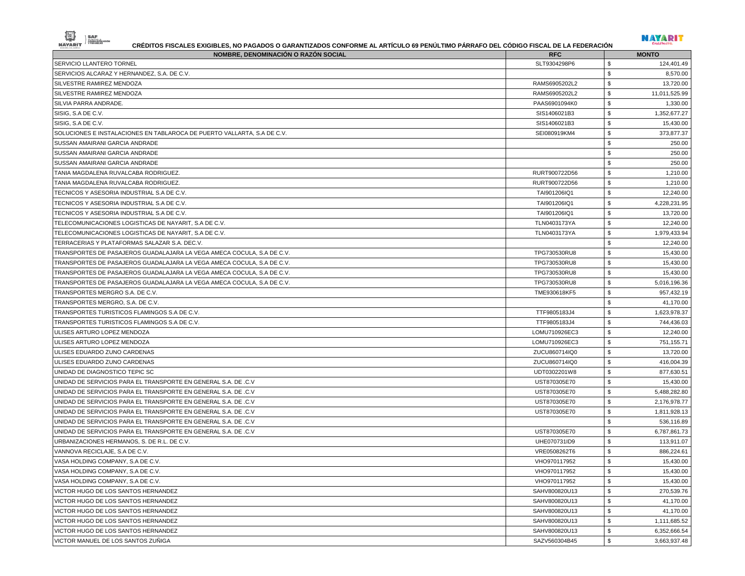

| <b>NOMBRE, DENOMINACIÓN O RAZÓN SOCIAL</b>                              | <b>RFC</b>    | <b>MONTO</b>                 |
|-------------------------------------------------------------------------|---------------|------------------------------|
| SERVICIO LLANTERO TORNEL                                                | SLT9304298P6  | S<br>124,401.49              |
| SERVICIOS ALCARAZ Y HERNANDEZ, S.A. DE C.V.                             |               | \$<br>8,570.00               |
| SILVESTRE RAMIREZ MENDOZA                                               | RAMS6905202L2 | S<br>13,720.00               |
| SILVESTRE RAMIREZ MENDOZA                                               | RAMS6905202L2 | \$<br>11,011,525.99          |
| SILVIA PARRA ANDRADE.                                                   | PAAS6901094K0 | S<br>1,330.00                |
| SISIG, S.A DE C.V.                                                      | SIS1406021B3  | \$<br>1,352,677.27           |
| SISIG, S.A DE C.V.                                                      | SIS1406021B3  | \$<br>15,430.00              |
| SOLUCIONES E INSTALACIONES EN TABLAROCA DE PUERTO VALLARTA, S.A DE C.V. | SEI080919KM4  | \$<br>373,877.37             |
| SUSSAN AMAIRANI GARCIA ANDRADE                                          |               | \$<br>250.00                 |
| SUSSAN AMAIRANI GARCIA ANDRADE                                          |               | \$<br>250.00                 |
| SUSSAN AMAIRANI GARCIA ANDRADE                                          |               | \$<br>250.00                 |
| TANIA MAGDALENA RUVALCABA RODRIGUEZ.                                    | RURT900722D56 | \$<br>1,210.00               |
| TANIA MAGDALENA RUVALCABA RODRIGUEZ.                                    | RURT900722D56 | \$<br>1,210.00               |
| TECNICOS Y ASESORIA INDUSTRIAL S.A DE C.V.                              | TAI901206IQ1  | \$<br>12,240.00              |
| TECNICOS Y ASESORIA INDUSTRIAL S.A DE C.V.                              | TAI901206IQ1  | \$<br>4,228,231.95           |
| TECNICOS Y ASESORIA INDUSTRIAL S.A DE C.V.                              | TAI901206IQ1  | S<br>13,720.00               |
| TELECOMUNICACIONES LOGISTICAS DE NAYARIT, S.A DE C.V.                   | TLN0403173YA  | \$<br>12,240.00              |
| TELECOMUNICACIONES LOGISTICAS DE NAYARIT, S.A DE C.V.                   | TLN0403173YA  | \$<br>1,979,433.94           |
| TERRACERIAS Y PLATAFORMAS SALAZAR S.A. DEC.V.                           |               | \$<br>12,240.00              |
| TRANSPORTES DE PASAJEROS GUADALAJARA LA VEGA AMECA COCULA, S.A DE C.V.  | TPG730530RU8  | \$<br>15,430.00              |
| TRANSPORTES DE PASAJEROS GUADALAJARA LA VEGA AMECA COCULA, S.A DE C.V.  | TPG730530RU8  | \$<br>15,430.00              |
| TRANSPORTES DE PASAJEROS GUADALAJARA LA VEGA AMECA COCULA, S.A DE C.V.  | TPG730530RU8  | \$<br>15,430.00              |
| TRANSPORTES DE PASAJEROS GUADALAJARA LA VEGA AMECA COCULA, S.A DE C.V.  | TPG730530RU8  | \$<br>5,016,196.36           |
| TRANSPORTES MERGRO S.A. DE C.V.                                         | TME930618KF5  | \$<br>957,432.19             |
| TRANSPORTES MERGRO, S.A. DE C.V.                                        |               | \$<br>41,170.00              |
| TRANSPORTES TURISTICOS FLAMINGOS S.A DE C.V.                            | TTF9805183J4  | S<br>1,623,978.37            |
| TRANSPORTES TURISTICOS FLAMINGOS S.A DE C.V.                            | TTF9805183J4  | $\mathfrak{s}$<br>744,436.03 |
| ULISES ARTURO LOPEZ MENDOZA                                             | LOMU710926EC3 | \$<br>12,240.00              |
| ULISES ARTURO LOPEZ MENDOZA                                             | LOMU710926EC3 | \$<br>751,155.71             |
| ULISES EDUARDO ZUNO CARDENAS                                            | ZUCU860714IQ0 | \$<br>13,720.00              |
| ULISES EDUARDO ZUNO CARDENAS                                            | ZUCU860714IQ0 | \$<br>416,004.39             |
| UNIDAD DE DIAGNOSTICO TEPIC SC                                          | UDT0302201W8  | \$<br>877,630.51             |
| UNIDAD DE SERVICIOS PARA EL TRANSPORTE EN GENERAL S.A. DE .C.V          | UST870305E70  | \$<br>15,430.00              |
| UNIDAD DE SERVICIOS PARA EL TRANSPORTE EN GENERAL S.A. DE .C.V          | UST870305E70  | \$<br>5,488,282.80           |
| UNIDAD DE SERVICIOS PARA EL TRANSPORTE EN GENERAL S.A. DE .C.V          | UST870305E70  | S<br>2,176,978.77            |
| UNIDAD DE SERVICIOS PARA EL TRANSPORTE EN GENERAL S.A. DE .C.V          | UST870305E70  | \$<br>1,811,928.13           |
| UNIDAD DE SERVICIOS PARA EL TRANSPORTE EN GENERAL S.A. DE .C.V          |               | \$<br>536,116.89             |
| UNIDAD DE SERVICIOS PARA EL TRANSPORTE EN GENERAL S.A. DE .C.V          | UST870305E70  | \$<br>6,787,861.73           |
| URBANIZACIONES HERMANOS, S. DE R.L. DE C.V.                             | UHE070731ID9  | S<br>113,911.07              |
| VANNOVA RECICLAJE, S.A DE C.V.                                          | VRE0508262T6  | S.<br>886,224.61             |
| VASA HOLDING COMPANY, S.A DE C.V.                                       | VHO970117952  | \$<br>15,430.00              |
| VASA HOLDING COMPANY, S.A DE C.V.                                       | VHO970117952  | 15,430.00<br>S,              |
| VASA HOLDING COMPANY, S.A DE C.V.                                       | VHO970117952  | \$<br>15,430.00              |
| VICTOR HUGO DE LOS SANTOS HERNANDEZ                                     | SAHV800820U13 | \$<br>270,539.76             |
| VICTOR HUGO DE LOS SANTOS HERNANDEZ                                     | SAHV800820U13 | \$<br>41,170.00              |
| VICTOR HUGO DE LOS SANTOS HERNANDEZ                                     | SAHV800820U13 | \$<br>41,170.00              |
| VICTOR HUGO DE LOS SANTOS HERNANDEZ                                     | SAHV800820U13 | \$<br>1,111,685.52           |
| VICTOR HUGO DE LOS SANTOS HERNANDEZ                                     | SAHV800820U13 | \$<br>6,352,666.54           |
| VICTOR MANUEL DE LOS SANTOS ZUÑIGA                                      | SAZV560304B45 | \$<br>3,663,937.48           |